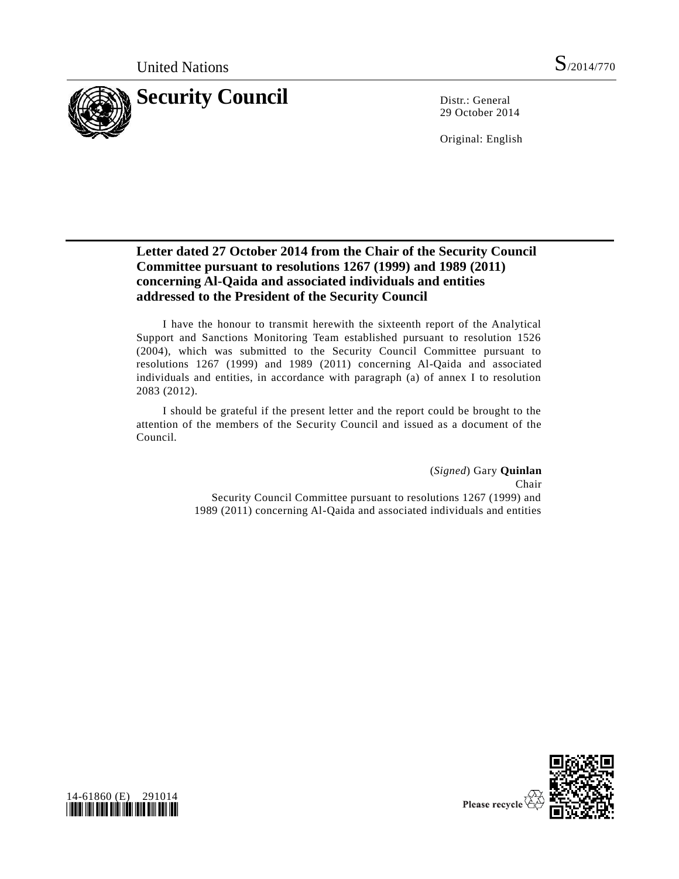

29 October 2014

Original: English

## **Letter dated 27 October 2014 from the Chair of the Security Council Committee pursuant to resolutions 1267 (1999) and 1989 (2011) concerning Al-Qaida and associated individuals and entities addressed to the President of the Security Council**

I have the honour to transmit herewith the sixteenth report of the Analytical Support and Sanctions Monitoring Team established pursuant to resolution 1526 (2004), which was submitted to the Security Council Committee pursuant to resolutions 1267 (1999) and 1989 (2011) concerning Al-Qaida and associated individuals and entities, in accordance with paragraph (a) of annex I to resolution 2083 (2012).

I should be grateful if the present letter and the report could be brought to the attention of the members of the Security Council and issued as a document of the Council.

> (*Signed*) Gary **Quinlan** Chair Security Council Committee pursuant to resolutions 1267 (1999) and 1989 (2011) concerning Al-Qaida and associated individuals and entities



14-61860 (E) 291014 *\*1461860\**

Please recycle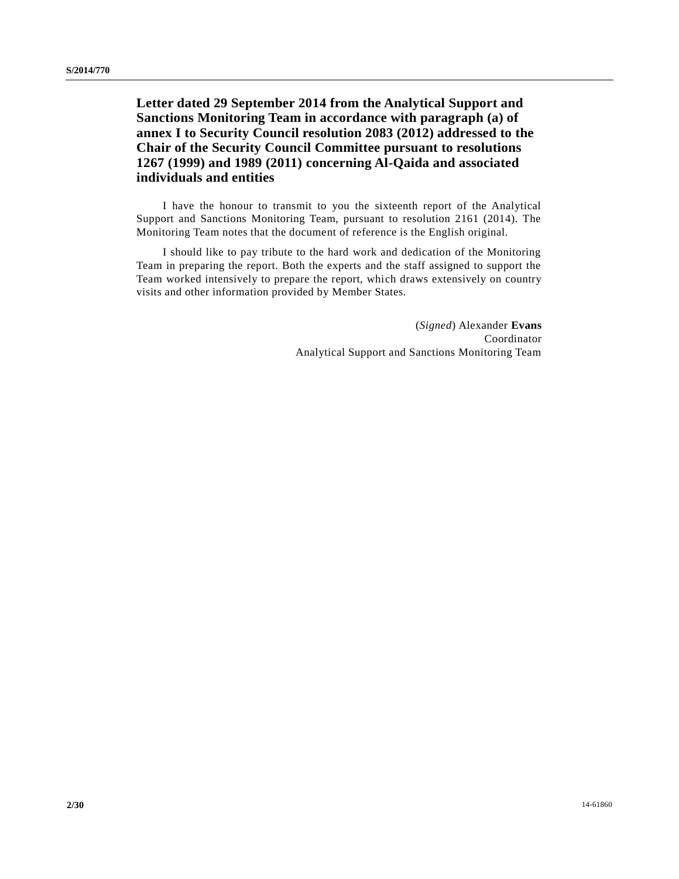**Letter dated 29 September 2014 from the Analytical Support and Sanctions Monitoring Team in accordance with paragraph (a) of annex I to Security Council resolution 2083 (2012) addressed to the Chair of the Security Council Committee pursuant to resolutions 1267 (1999) and 1989 (2011) concerning Al-Qaida and associated individuals and entities**

I have the honour to transmit to you the sixteenth report of the Analytical Support and Sanctions Monitoring Team, pursuant to resolution 2161 (2014). The Monitoring Team notes that the document of reference is the English original.

I should like to pay tribute to the hard work and dedication of the Monitoring Team in preparing the report. Both the experts and the staff assigned to support the Team worked intensively to prepare the report, which draws extensively on country visits and other information provided by Member States.

> (*Signed*) Alexander **Evans** Coordinator Analytical Support and Sanctions Monitoring Team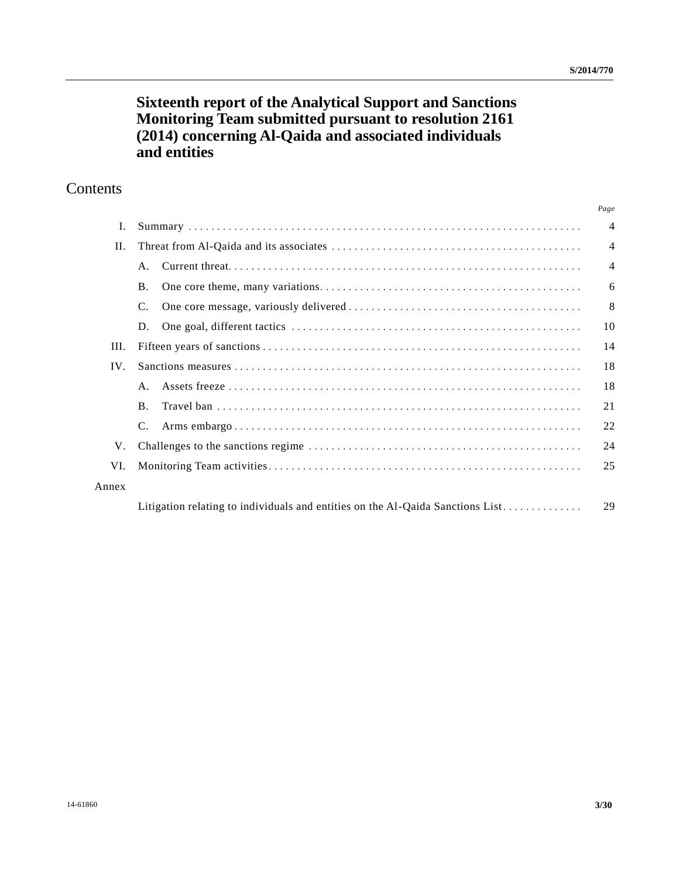# **Sixteenth report of the Analytical Support and Sanctions Monitoring Team submitted pursuant to resolution 2161 (2014) concerning Al-Qaida and associated individuals and entities**

# **Contents**

|       |                                                                                | Page           |
|-------|--------------------------------------------------------------------------------|----------------|
| Ι.    |                                                                                | $\overline{4}$ |
| II.   |                                                                                | $\overline{4}$ |
|       | $A_{\cdot}$                                                                    | $\overline{4}$ |
|       | <b>B.</b>                                                                      | 6              |
|       | C.                                                                             | 8              |
|       | D.                                                                             | 10             |
| Ш.    |                                                                                | 14             |
| IV.   |                                                                                | 18             |
|       | $A_{\cdot}$                                                                    | 18             |
|       | $\mathbf{B}$ .                                                                 | 21             |
|       |                                                                                | 22             |
| V.    |                                                                                | 24             |
| VI.   |                                                                                | 25             |
| Annex |                                                                                |                |
|       | Litigation relating to individuals and entities on the Al-Qaida Sanctions List | 29             |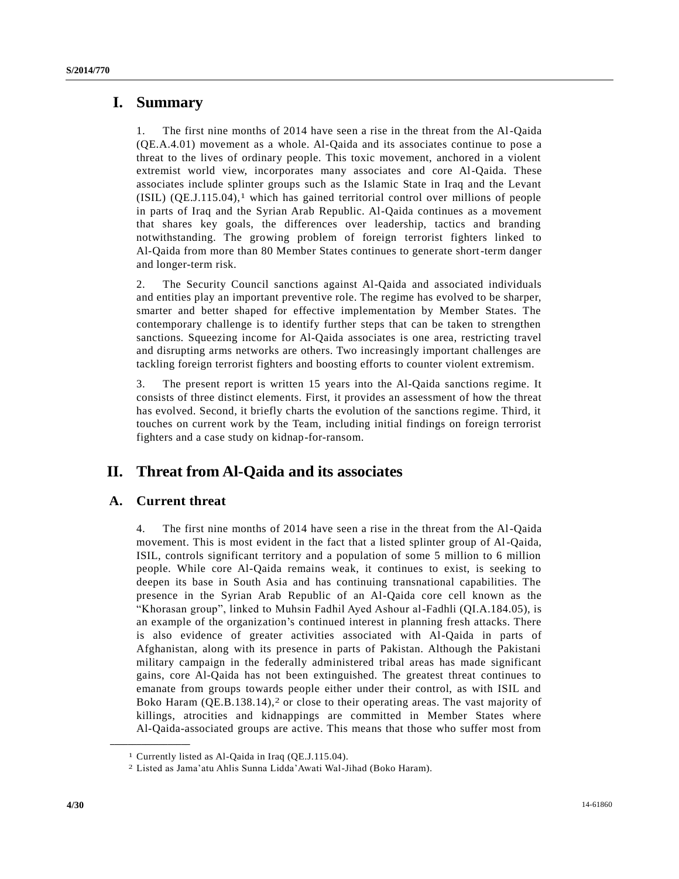## **I. Summary**

1. The first nine months of 2014 have seen a rise in the threat from the Al-Qaida (QE.A.4.01) movement as a whole. Al-Qaida and its associates continue to pose a threat to the lives of ordinary people. This toxic movement, anchored in a violent extremist world view, incorporates many associates and core Al-Qaida. These associates include splinter groups such as the Islamic State in Iraq and the Levant  $(ISIL) (QE.J.115.04),<sup>1</sup>$  which has gained territorial control over millions of people in parts of Iraq and the Syrian Arab Republic. Al-Qaida continues as a movement that shares key goals, the differences over leadership, tactics and branding notwithstanding. The growing problem of foreign terrorist fighters linked to Al-Qaida from more than 80 Member States continues to generate short-term danger and longer-term risk.

2. The Security Council sanctions against Al-Qaida and associated individuals and entities play an important preventive role. The regime has evolved to be sharper, smarter and better shaped for effective implementation by Member States. The contemporary challenge is to identify further steps that can be taken to strengthen sanctions. Squeezing income for Al-Qaida associates is one area, restricting travel and disrupting arms networks are others. Two increasingly important challenges are tackling foreign terrorist fighters and boosting efforts to counter violent extremism.

3. The present report is written 15 years into the Al-Qaida sanctions regime. It consists of three distinct elements. First, it provides an assessment of how the threat has evolved. Second, it briefly charts the evolution of the sanctions regime. Third, it touches on current work by the Team, including initial findings on foreign terrorist fighters and a case study on kidnap-for-ransom.

# **II. Threat from Al-Qaida and its associates**

## **A. Current threat**

**\_\_\_\_\_\_\_\_\_\_\_\_\_\_\_\_\_\_**

4. The first nine months of 2014 have seen a rise in the threat from the Al-Qaida movement. This is most evident in the fact that a listed splinter group of Al-Qaida, ISIL, controls significant territory and a population of some 5 million to 6 million people. While core Al-Qaida remains weak, it continues to exist, is seeking to deepen its base in South Asia and has continuing transnational capabilities. The presence in the Syrian Arab Republic of an Al-Qaida core cell known as the "Khorasan group", linked to Muhsin Fadhil Ayed Ashour al-Fadhli (QI.A.184.05), is an example of the organization's continued interest in planning fresh attacks. There is also evidence of greater activities associated with Al-Qaida in parts of Afghanistan, along with its presence in parts of Pakistan. Although the Pakistani military campaign in the federally administered tribal areas has made significant gains, core Al-Qaida has not been extinguished. The greatest threat continues to emanate from groups towards people either under their control, as with ISIL and Boko Haram (QE.B.138.14),<sup>2</sup> or close to their operating areas. The vast majority of killings, atrocities and kidnappings are committed in Member States where Al-Qaida-associated groups are active. This means that those who suffer most from

<sup>1</sup> Currently listed as Al-Qaida in Iraq (QE.J.115.04).

<sup>2</sup> Listed as Jama'atu Ahlis Sunna Lidda'Awati Wal-Jihad (Boko Haram).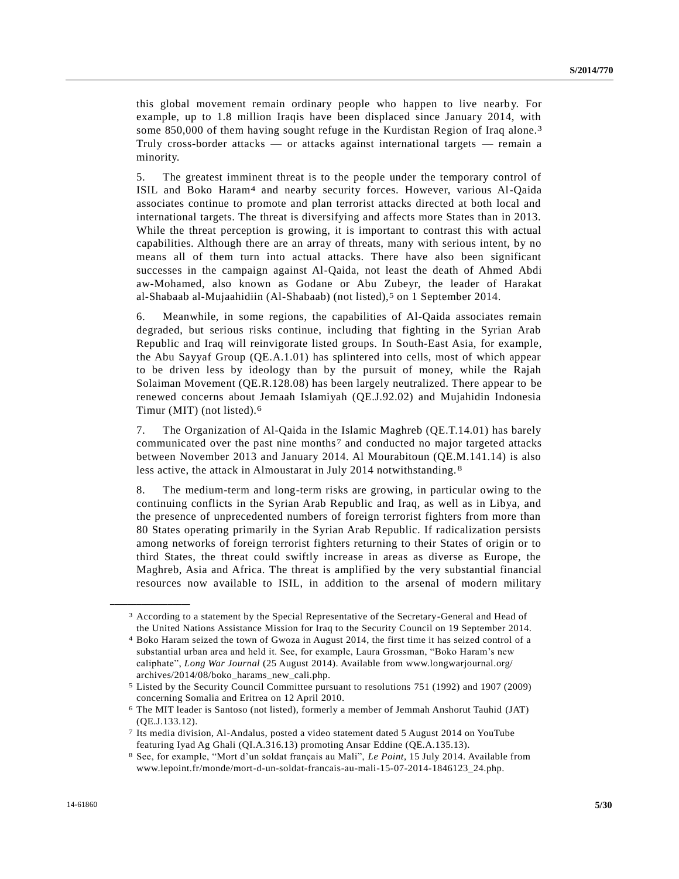this global movement remain ordinary people who happen to live nearby. For example, up to 1.8 million Iraqis have been displaced since January 2014, with some 850,000 of them having sought refuge in the Kurdistan Region of Iraq alone.3 Truly cross-border attacks — or attacks against international targets — remain a minority.

5. The greatest imminent threat is to the people under the temporary control of ISIL and Boko Haram4 and nearby security forces. However, various Al-Qaida associates continue to promote and plan terrorist attacks directed at both local and international targets. The threat is diversifying and affects more States than in 2013. While the threat perception is growing, it is important to contrast this with actual capabilities. Although there are an array of threats, many with serious intent, by no means all of them turn into actual attacks. There have also been significant successes in the campaign against Al-Qaida, not least the death of Ahmed Abdi aw-Mohamed, also known as Godane or Abu Zubeyr, the leader of Harakat al-Shabaab al-Mujaahidiin (Al-Shabaab) (not listed),5 on 1 September 2014.

6. Meanwhile, in some regions, the capabilities of Al-Qaida associates remain degraded, but serious risks continue, including that fighting in the Syrian Arab Republic and Iraq will reinvigorate listed groups. In South-East Asia, for example, the Abu Sayyaf Group (QE.A.1.01) has splintered into cells, most of which appear to be driven less by ideology than by the pursuit of money, while the Rajah Solaiman Movement (QE.R.128.08) has been largely neutralized. There appear to be renewed concerns about Jemaah Islamiyah (QE.J.92.02) and Mujahidin Indonesia Timur (MIT) (not listed).6

7. The Organization of Al-Qaida in the Islamic Maghreb (QE.T.14.01) has barely communicated over the past nine months7 and conducted no major targeted attacks between November 2013 and January 2014. Al Mourabitoun (QE.M.141.14) is also less active, the attack in Almoustarat in July 2014 notwithstanding. 8

8. The medium-term and long-term risks are growing, in particular owing to the continuing conflicts in the Syrian Arab Republic and Iraq, as well as in Libya, and the presence of unprecedented numbers of foreign terrorist fighters from more than 80 States operating primarily in the Syrian Arab Republic. If radicalization persists among networks of foreign terrorist fighters returning to their States of origin or to third States, the threat could swiftly increase in areas as diverse as Europe, the Maghreb, Asia and Africa. The threat is amplified by the very substantial financial resources now available to ISIL, in addition to the arsenal of modern military

<sup>3</sup> According to a statement by the Special Representative of the Secretary-General and Head of the United Nations Assistance Mission for Iraq to the Security Council on 19 September 2014.

<sup>4</sup> Boko Haram seized the town of Gwoza in August 2014, the first time it has seized control of a substantial urban area and held it. See, for example, Laura Grossman, "Boko Haram's new caliphate", *Long War Journal* (25 August 2014). Available from www.longwarjournal.org/ archives/2014/08/boko\_harams\_new\_cali.php.

<sup>5</sup> Listed by the Security Council Committee pursuant to resolutions 751 (1992) and 1907 (2009) concerning Somalia and Eritrea on 12 April 2010.

<sup>6</sup> The MIT leader is Santoso (not listed), formerly a member of Jemmah Anshorut Tauhid (JAT) (QE.J.133.12).

<sup>7</sup> Its media division, Al-Andalus, posted a video statement dated 5 August 2014 on YouTube featuring Iyad Ag Ghali (QI.A.316.13) promoting Ansar Eddine (QE.A.135.13).

<sup>8</sup> See, for example, "Mort d'un soldat français au Mali", *Le Point*, 15 July 2014. Available from www.lepoint.fr/monde/mort-d-un-soldat-francais-au-mali-15-07-2014-1846123\_24.php.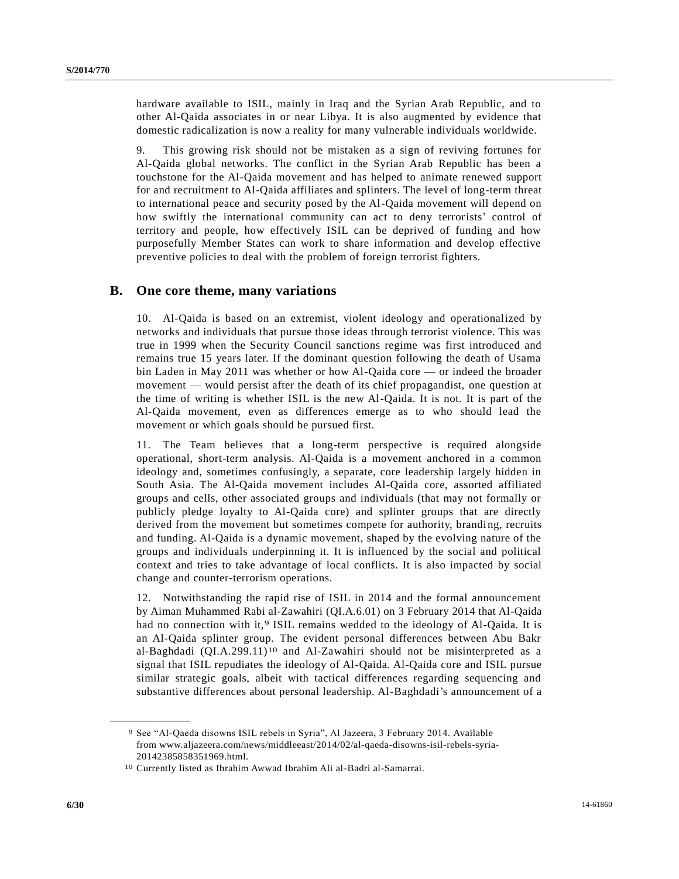hardware available to ISIL, mainly in Iraq and the Syrian Arab Republic, and to other Al-Qaida associates in or near Libya. It is also augmented by evidence that domestic radicalization is now a reality for many vulnerable individuals worldwide.

9. This growing risk should not be mistaken as a sign of reviving fortunes for Al-Qaida global networks. The conflict in the Syrian Arab Republic has been a touchstone for the Al-Qaida movement and has helped to animate renewed support for and recruitment to Al-Qaida affiliates and splinters. The level of long-term threat to international peace and security posed by the Al-Qaida movement will depend on how swiftly the international community can act to deny terrorists' control of territory and people, how effectively ISIL can be deprived of funding and how purposefully Member States can work to share information and develop effective preventive policies to deal with the problem of foreign terrorist fighters.

### **B. One core theme, many variations**

10. Al-Qaida is based on an extremist, violent ideology and operationalized by networks and individuals that pursue those ideas through terrorist violence. This was true in 1999 when the Security Council sanctions regime was first introduced and remains true 15 years later. If the dominant question following the death of Usama bin Laden in May 2011 was whether or how Al-Qaida core — or indeed the broader movement — would persist after the death of its chief propagandist, one question at the time of writing is whether ISIL is the new Al-Qaida. It is not. It is part of the Al-Qaida movement, even as differences emerge as to who should lead the movement or which goals should be pursued first.

11. The Team believes that a long-term perspective is required alongside operational, short-term analysis. Al-Qaida is a movement anchored in a common ideology and, sometimes confusingly, a separate, core leadership largely hidden in South Asia. The Al-Qaida movement includes Al-Qaida core, assorted affiliated groups and cells, other associated groups and individuals (that may not formally or publicly pledge loyalty to Al-Qaida core) and splinter groups that are directly derived from the movement but sometimes compete for authority, branding, recruits and funding. Al-Qaida is a dynamic movement, shaped by the evolving nature of the groups and individuals underpinning it. It is influenced by the social and political context and tries to take advantage of local conflicts. It is also impacted by social change and counter-terrorism operations.

12. Notwithstanding the rapid rise of ISIL in 2014 and the formal announcement by Aiman Muhammed Rabi al-Zawahiri (QI.A.6.01) on 3 February 2014 that Al-Qaida had no connection with it,<sup>9</sup> ISIL remains wedded to the ideology of Al-Qaida. It is an Al-Qaida splinter group. The evident personal differences between Abu Bakr al-Baghdadi  $(QIA.299.11)^{10}$  and Al-Zawahiri should not be misinterpreted as a signal that ISIL repudiates the ideology of Al-Qaida. Al-Qaida core and ISIL pursue similar strategic goals, albeit with tactical differences regarding sequencing and substantive differences about personal leadership. Al-Baghdadi's announcement of a

<sup>9</sup> See "Al-Qaeda disowns ISIL rebels in Syria", Al Jazeera, 3 February 2014. Available from www.aljazeera.com/news/middleeast/2014/02/al-qaeda-disowns-isil-rebels-syria-20142385858351969.html.

<sup>10</sup> Currently listed as Ibrahim Awwad Ibrahim Ali al-Badri al-Samarrai.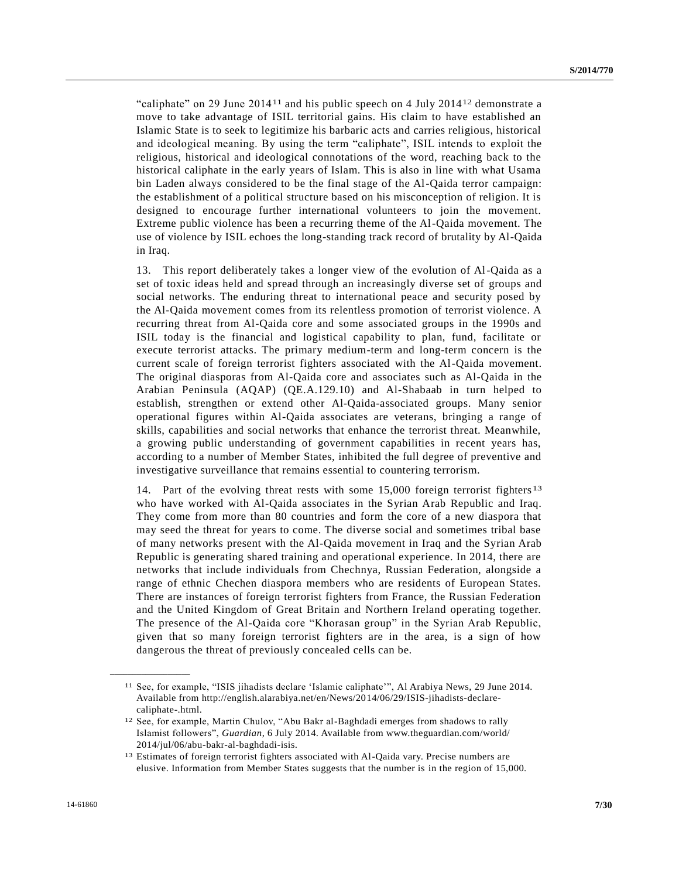"caliphate" on 29 June 201411 and his public speech on 4 July 201412 demonstrate a move to take advantage of ISIL territorial gains. His claim to have established an Islamic State is to seek to legitimize his barbaric acts and carries religious, historical and ideological meaning. By using the term "caliphate", ISIL intends to exploit the religious, historical and ideological connotations of the word, reaching back to the historical caliphate in the early years of Islam. This is also in line with what Usama bin Laden always considered to be the final stage of the Al-Qaida terror campaign: the establishment of a political structure based on his misconception of religion. It is designed to encourage further international volunteers to join the movement. Extreme public violence has been a recurring theme of the Al-Qaida movement. The use of violence by ISIL echoes the long-standing track record of brutality by Al-Qaida in Iraq.

13. This report deliberately takes a longer view of the evolution of Al-Qaida as a set of toxic ideas held and spread through an increasingly diverse set of groups and social networks. The enduring threat to international peace and security posed by the Al-Qaida movement comes from its relentless promotion of terrorist violence. A recurring threat from Al-Qaida core and some associated groups in the 1990s and ISIL today is the financial and logistical capability to plan, fund, facilitate or execute terrorist attacks. The primary medium-term and long-term concern is the current scale of foreign terrorist fighters associated with the Al-Qaida movement. The original diasporas from Al-Qaida core and associates such as Al-Qaida in the Arabian Peninsula (AQAP) (QE.A.129.10) and Al-Shabaab in turn helped to establish, strengthen or extend other Al-Qaida-associated groups. Many senior operational figures within Al-Qaida associates are veterans, bringing a range of skills, capabilities and social networks that enhance the terrorist threat. Meanwhile, a growing public understanding of government capabilities in recent years has, according to a number of Member States, inhibited the full degree of preventive and investigative surveillance that remains essential to countering terrorism.

14. Part of the evolving threat rests with some 15,000 foreign terrorist fighters 13 who have worked with Al-Qaida associates in the Syrian Arab Republic and Iraq. They come from more than 80 countries and form the core of a new diaspora that may seed the threat for years to come. The diverse social and sometimes tribal base of many networks present with the Al-Qaida movement in Iraq and the Syrian Arab Republic is generating shared training and operational experience. In 2014, there are networks that include individuals from Chechnya, Russian Federation, alongside a range of ethnic Chechen diaspora members who are residents of European States. There are instances of foreign terrorist fighters from France, the Russian Federation and the United Kingdom of Great Britain and Northern Ireland operating together. The presence of the Al-Qaida core "Khorasan group" in the Syrian Arab Republic, given that so many foreign terrorist fighters are in the area, is a sign of how dangerous the threat of previously concealed cells can be.

<sup>11</sup> See, for example, "ISIS jihadists declare 'Islamic caliphate'", Al Arabiya News, 29 June 2014. Available from http://english.alarabiya.net/en/News/2014/06/29/ISIS-jihadists-declarecaliphate-.html.

<sup>12</sup> See, for example, Martin Chulov, "Abu Bakr al-Baghdadi emerges from shadows to rally Islamist followers", *Guardian*, 6 July 2014. Available from www.theguardian.com/world/ 2014/jul/06/abu-bakr-al-baghdadi-isis.

<sup>13</sup> Estimates of foreign terrorist fighters associated with Al-Qaida vary. Precise numbers are elusive. Information from Member States suggests that the number is in the region of 15,000.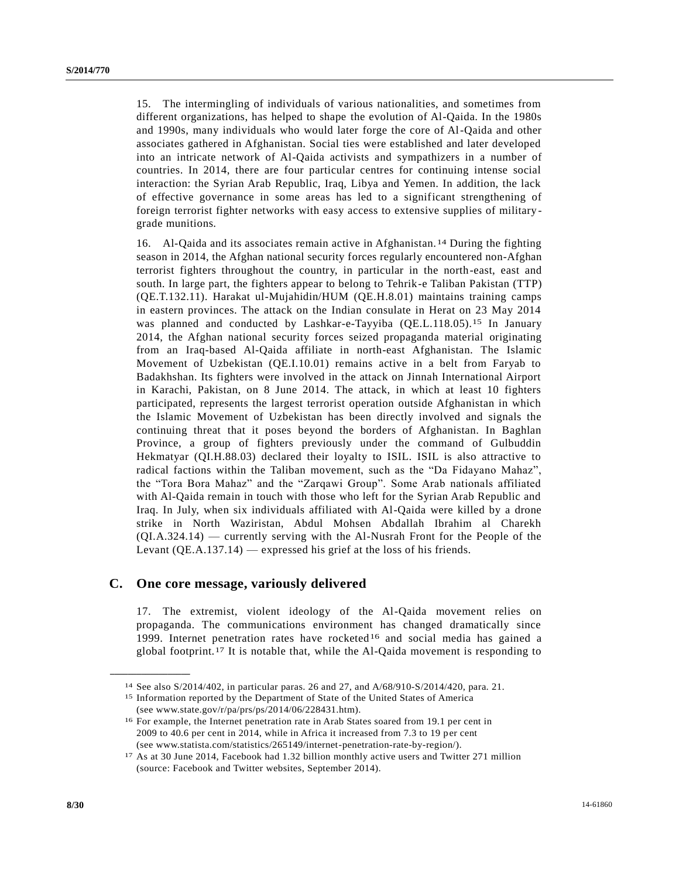15. The intermingling of individuals of various nationalities, and sometimes from different organizations, has helped to shape the evolution of Al-Qaida. In the 1980s and 1990s, many individuals who would later forge the core of Al-Qaida and other associates gathered in Afghanistan. Social ties were established and later developed into an intricate network of Al-Qaida activists and sympathizers in a number of countries. In 2014, there are four particular centres for continuing intense social interaction: the Syrian Arab Republic, Iraq, Libya and Yemen. In addition, the lack of effective governance in some areas has led to a significant strengthening of foreign terrorist fighter networks with easy access to extensive supplies of military grade munitions.

16. Al-Qaida and its associates remain active in Afghanistan. 14 During the fighting season in 2014, the Afghan national security forces regularly encountered non-Afghan terrorist fighters throughout the country, in particular in the north-east, east and south. In large part, the fighters appear to belong to Tehrik-e Taliban Pakistan (TTP) (QE.T.132.11). Harakat ul-Mujahidin/HUM (QE.H.8.01) maintains training camps in eastern provinces. The attack on the Indian consulate in Herat on 23 May 2014 was planned and conducted by Lashkar-e-Tayyiba (QE.L.118.05).15 In January 2014, the Afghan national security forces seized propaganda material originating from an Iraq-based Al-Qaida affiliate in north-east Afghanistan. The Islamic Movement of Uzbekistan (QE.I.10.01) remains active in a belt from Faryab to Badakhshan. Its fighters were involved in the attack on Jinnah International Airport in Karachi, Pakistan, on 8 June 2014. The attack, in which at least 10 fighters participated, represents the largest terrorist operation outside Afghanistan in which the Islamic Movement of Uzbekistan has been directly involved and signals the continuing threat that it poses beyond the borders of Afghanistan. In Baghlan Province, a group of fighters previously under the command of Gulbuddin Hekmatyar (QI.H.88.03) declared their loyalty to ISIL. ISIL is also attractive to radical factions within the Taliban movement, such as the "Da Fidayano Mahaz", the "Tora Bora Mahaz" and the "Zarqawi Group". Some Arab nationals affiliated with Al-Qaida remain in touch with those who left for the Syrian Arab Republic and Iraq. In July, when six individuals affiliated with Al-Qaida were killed by a drone strike in North Waziristan, Abdul Mohsen Abdallah Ibrahim al Charekh (QI.A.324.14) — currently serving with the Al-Nusrah Front for the People of the Levant (QE.A.137.14) — expressed his grief at the loss of his friends.

#### **C. One core message, variously delivered**

17. The extremist, violent ideology of the Al-Qaida movement relies on propaganda. The communications environment has changed dramatically since 1999. Internet penetration rates have rocketed<sup>16</sup> and social media has gained a global footprint.<sup>17</sup> It is notable that, while the Al-Qaida movement is responding to

<sup>14</sup> See als[o S/2014/402,](http://undocs.org/S/2014/402) in particular paras. 26 and 27, and [A/68/910-S/2014/420,](http://undocs.org/A/68/910) para. 21.

<sup>15</sup> Information reported by the Department of State of the United States of America (see www.state.gov/r/pa/prs/ps/2014/06/228431.htm).

<sup>16</sup> For example, the Internet penetration rate in Arab States soared from 19.1 per cent in 2009 to 40.6 per cent in 2014, while in Africa it increased from 7.3 to 19 per cent (see www.statista.com/statistics/265149/internet-penetration-rate-by-region/).

<sup>17</sup> As at 30 June 2014, Facebook had 1.32 billion monthly active users and Twitter 271 million (source: Facebook and Twitter websites, September 2014).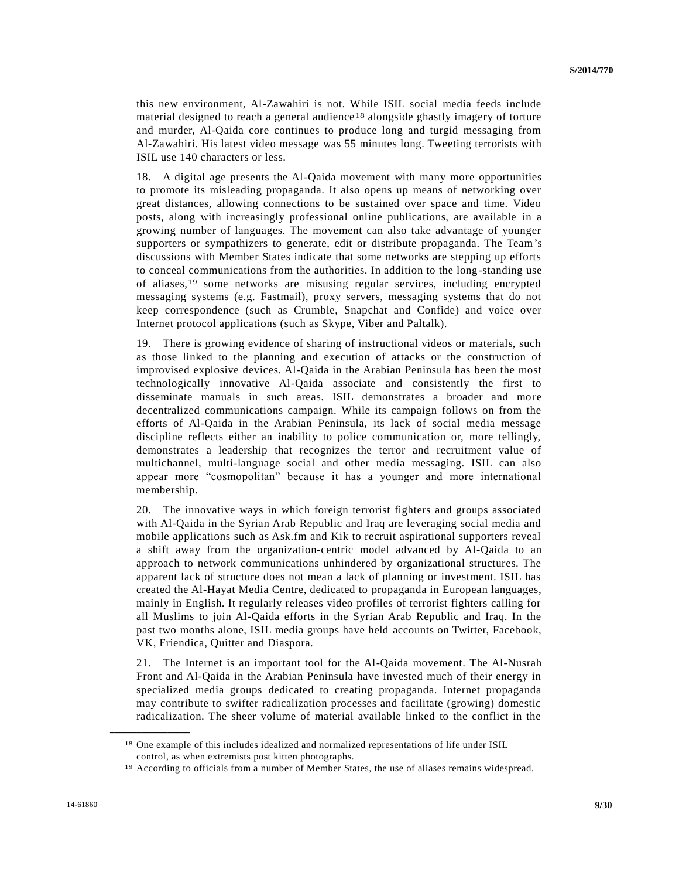this new environment, Al-Zawahiri is not. While ISIL social media feeds include material designed to reach a general audience<sup>18</sup> alongside ghastly imagery of torture and murder, Al-Qaida core continues to produce long and turgid messaging from Al-Zawahiri. His latest video message was 55 minutes long. Tweeting terrorists with ISIL use 140 characters or less.

18. A digital age presents the Al-Qaida movement with many more opportunities to promote its misleading propaganda. It also opens up means of networking over great distances, allowing connections to be sustained over space and time. Video posts, along with increasingly professional online publications, are available in a growing number of languages. The movement can also take advantage of younger supporters or sympathizers to generate, edit or distribute propaganda. The Team's discussions with Member States indicate that some networks are stepping up efforts to conceal communications from the authorities. In addition to the long-standing use of aliases,19 some networks are misusing regular services, including encrypted messaging systems (e.g. Fastmail), proxy servers, messaging systems that do not keep correspondence (such as Crumble, Snapchat and Confide) and voice over Internet protocol applications (such as Skype, Viber and Paltalk).

19. There is growing evidence of sharing of instructional videos or materials, such as those linked to the planning and execution of attacks or the construction of improvised explosive devices. Al-Qaida in the Arabian Peninsula has been the most technologically innovative Al-Qaida associate and consistently the first to disseminate manuals in such areas. ISIL demonstrates a broader and more decentralized communications campaign. While its campaign follows on from the efforts of Al-Qaida in the Arabian Peninsula, its lack of social media message discipline reflects either an inability to police communication or, more tellingly, demonstrates a leadership that recognizes the terror and recruitment value of multichannel, multi-language social and other media messaging. ISIL can also appear more "cosmopolitan" because it has a younger and more international membership.

20. The innovative ways in which foreign terrorist fighters and groups associated with Al-Qaida in the Syrian Arab Republic and Iraq are leveraging social media and mobile applications such as Ask.fm and Kik to recruit aspirational supporters reveal a shift away from the organization-centric model advanced by Al-Qaida to an approach to network communications unhindered by organizational structures. The apparent lack of structure does not mean a lack of planning or investment. ISIL has created the Al-Hayat Media Centre, dedicated to propaganda in European languages, mainly in English. It regularly releases video profiles of terrorist fighters calling for all Muslims to join Al-Qaida efforts in the Syrian Arab Republic and Iraq. In the past two months alone, ISIL media groups have held accounts on Twitter, Facebook, VK, Friendica, Quitter and Diaspora.

21. The Internet is an important tool for the Al-Qaida movement. The Al-Nusrah Front and Al-Qaida in the Arabian Peninsula have invested much of their energy in specialized media groups dedicated to creating propaganda. Internet propaganda may contribute to swifter radicalization processes and facilitate (growing) domestic radicalization. The sheer volume of material available linked to the conflict in the

<sup>18</sup> One example of this includes idealized and normalized representations of life under ISIL control, as when extremists post kitten photographs.

<sup>19</sup> According to officials from a number of Member States, the use of aliases remains widespread.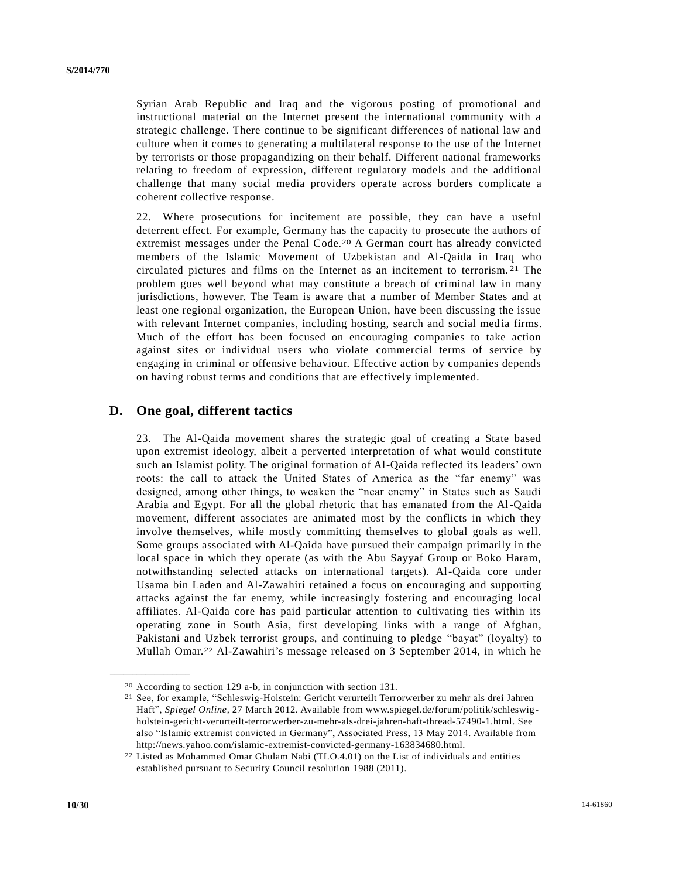Syrian Arab Republic and Iraq and the vigorous posting of promotional and instructional material on the Internet present the international community with a strategic challenge. There continue to be significant differences of national law and culture when it comes to generating a multilateral response to the use of the Internet by terrorists or those propagandizing on their behalf. Different national frameworks relating to freedom of expression, different regulatory models and the additional challenge that many social media providers operate across borders complicate a coherent collective response.

22. Where prosecutions for incitement are possible, they can have a useful deterrent effect. For example, Germany has the capacity to prosecute the authors of extremist messages under the Penal Code.20 A German court has already convicted members of the Islamic Movement of Uzbekistan and Al-Qaida in Iraq who circulated pictures and films on the Internet as an incitement to terrorism. 21 The problem goes well beyond what may constitute a breach of criminal law in many jurisdictions, however. The Team is aware that a number of Member States and at least one regional organization, the European Union, have been discussing the issue with relevant Internet companies, including hosting, search and social media firms. Much of the effort has been focused on encouraging companies to take action against sites or individual users who violate commercial terms of service by engaging in criminal or offensive behaviour. Effective action by companies depends on having robust terms and conditions that are effectively implemented.

### **D. One goal, different tactics**

23. The Al-Qaida movement shares the strategic goal of creating a State based upon extremist ideology, albeit a perverted interpretation of what would constitute such an Islamist polity. The original formation of Al-Qaida reflected its leaders' own roots: the call to attack the United States of America as the "far enemy" was designed, among other things, to weaken the "near enemy" in States such as Saudi Arabia and Egypt. For all the global rhetoric that has emanated from the Al-Qaida movement, different associates are animated most by the conflicts in which they involve themselves, while mostly committing themselves to global goals as well. Some groups associated with Al-Qaida have pursued their campaign primarily in the local space in which they operate (as with the Abu Sayyaf Group or Boko Haram, notwithstanding selected attacks on international targets). Al-Qaida core under Usama bin Laden and Al-Zawahiri retained a focus on encouraging and supporting attacks against the far enemy, while increasingly fostering and encouraging local affiliates. Al-Qaida core has paid particular attention to cultivating ties within its operating zone in South Asia, first developing links with a range of Afghan, Pakistani and Uzbek terrorist groups, and continuing to pledge "bayat" (loyalty) to Mullah Omar.22 Al-Zawahiri's message released on 3 September 2014, in which he

<sup>20</sup> According to section 129 a-b, in conjunction with section 131.

<sup>21</sup> See, for example, "Schleswig-Holstein: Gericht verurteilt Terrorwerber zu mehr als drei Jahren Haft", *Spiegel Online*, 27 March 2012. Available from www.spiegel.de/forum/politik/schleswigholstein-gericht-verurteilt-terrorwerber-zu-mehr-als-drei-jahren-haft-thread-57490-1.html. See also "Islamic extremist convicted in Germany", Associated Press, 13 May 2014. Available from http://news.yahoo.com/islamic-extremist-convicted-germany-163834680.html.

<sup>22</sup> Listed as Mohammed Omar Ghulam Nabi (TI.O.4.01) on the List of individuals and entities established pursuant to Security Council resolution 1988 (2011).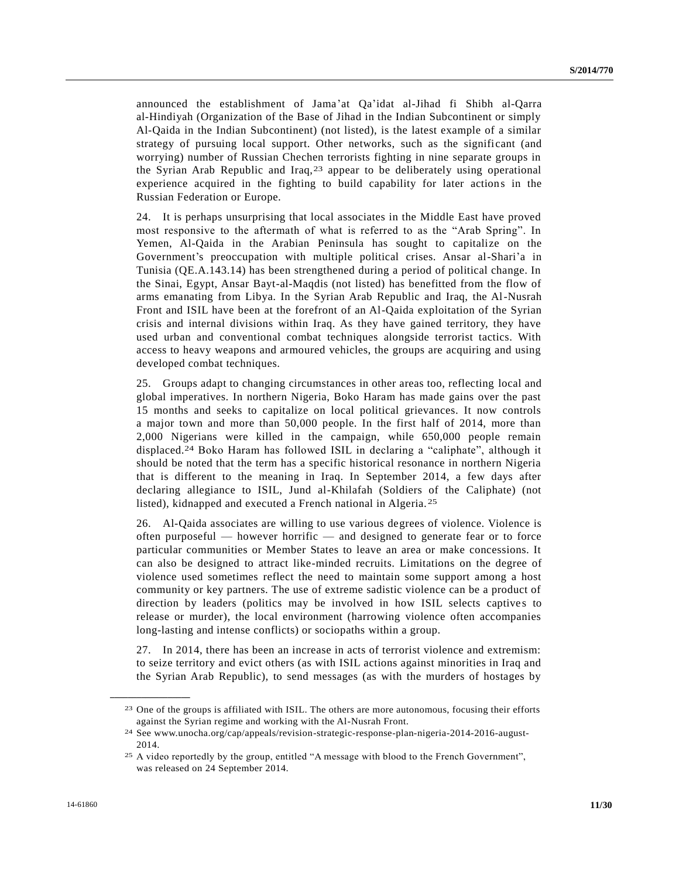announced the establishment of Jama'at Qa'idat al-Jihad fi Shibh al-Qarra al-Hindiyah (Organization of the Base of Jihad in the Indian Subcontinent or simply Al-Qaida in the Indian Subcontinent) (not listed), is the latest example of a similar strategy of pursuing local support. Other networks, such as the significant (and worrying) number of Russian Chechen terrorists fighting in nine separate groups in the Syrian Arab Republic and Iraq,23 appear to be deliberately using operational experience acquired in the fighting to build capability for later actions in the Russian Federation or Europe.

24. It is perhaps unsurprising that local associates in the Middle East have proved most responsive to the aftermath of what is referred to as the "Arab Spring". In Yemen, Al-Qaida in the Arabian Peninsula has sought to capitalize on the Government's preoccupation with multiple political crises. Ansar al-Shari'a in Tunisia (QE.A.143.14) has been strengthened during a period of political change. In the Sinai, Egypt, Ansar Bayt-al-Maqdis (not listed) has benefitted from the flow of arms emanating from Libya. In the Syrian Arab Republic and Iraq, the Al-Nusrah Front and ISIL have been at the forefront of an Al-Qaida exploitation of the Syrian crisis and internal divisions within Iraq. As they have gained territory, they have used urban and conventional combat techniques alongside terrorist tactics. With access to heavy weapons and armoured vehicles, the groups are acquiring and using developed combat techniques.

25. Groups adapt to changing circumstances in other areas too, reflecting local and global imperatives. In northern Nigeria, Boko Haram has made gains over the past 15 months and seeks to capitalize on local political grievances. It now controls a major town and more than 50,000 people. In the first half of 2014, more than 2,000 Nigerians were killed in the campaign, while 650,000 people remain displaced.24 Boko Haram has followed ISIL in declaring a "caliphate", although it should be noted that the term has a specific historical resonance in northern Nigeria that is different to the meaning in Iraq. In September 2014, a few days after declaring allegiance to ISIL, Jund al-Khilafah (Soldiers of the Caliphate) (not listed), kidnapped and executed a French national in Algeria. 25

26. Al-Qaida associates are willing to use various degrees of violence. Violence is often purposeful — however horrific — and designed to generate fear or to force particular communities or Member States to leave an area or make concessions. It can also be designed to attract like-minded recruits. Limitations on the degree of violence used sometimes reflect the need to maintain some support among a host community or key partners. The use of extreme sadistic violence can be a product of direction by leaders (politics may be involved in how ISIL selects captives to release or murder), the local environment (harrowing violence often accompanies long-lasting and intense conflicts) or sociopaths within a group.

27. In 2014, there has been an increase in acts of terrorist violence and extremism: to seize territory and evict others (as with ISIL actions against minorities in Iraq and the Syrian Arab Republic), to send messages (as with the murders of hostages by

<sup>23</sup> One of the groups is affiliated with ISIL. The others are more autonomous, focusing their efforts against the Syrian regime and working with the Al-Nusrah Front.

<sup>24</sup> See www.unocha.org/cap/appeals/revision-strategic-response-plan-nigeria-2014-2016-august-2014.

<sup>25</sup> A video reportedly by the group, entitled "A message with blood to the French Government", was released on 24 September 2014.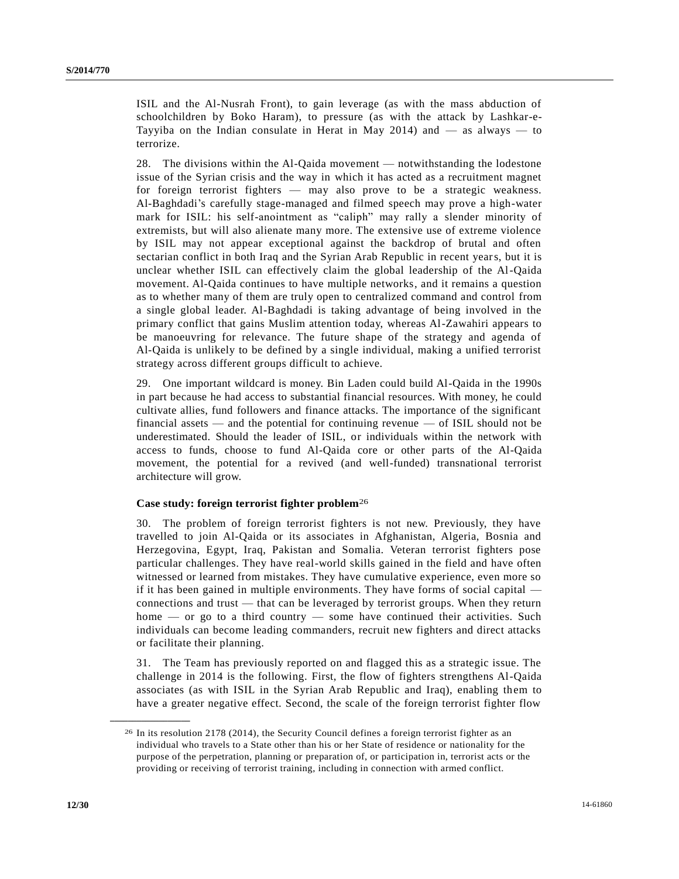ISIL and the Al-Nusrah Front), to gain leverage (as with the mass abduction of schoolchildren by Boko Haram), to pressure (as with the attack by Lashkar-e-Tayyiba on the Indian consulate in Herat in May 2014) and  $-$  as always  $-$  to terrorize.

28. The divisions within the Al-Qaida movement — notwithstanding the lodestone issue of the Syrian crisis and the way in which it has acted as a recruitment magnet for foreign terrorist fighters — may also prove to be a strategic weakness. Al-Baghdadi's carefully stage-managed and filmed speech may prove a high-water mark for ISIL: his self-anointment as "caliph" may rally a slender minority of extremists, but will also alienate many more. The extensive use of extreme violence by ISIL may not appear exceptional against the backdrop of brutal and often sectarian conflict in both Iraq and the Syrian Arab Republic in recent years, but it is unclear whether ISIL can effectively claim the global leadership of the Al-Qaida movement. Al-Qaida continues to have multiple networks, and it remains a question as to whether many of them are truly open to centralized command and control from a single global leader. Al-Baghdadi is taking advantage of being involved in the primary conflict that gains Muslim attention today, whereas Al-Zawahiri appears to be manoeuvring for relevance. The future shape of the strategy and agenda of Al-Qaida is unlikely to be defined by a single individual, making a unified terrorist strategy across different groups difficult to achieve.

29. One important wildcard is money. Bin Laden could build Al-Qaida in the 1990s in part because he had access to substantial financial resources. With money, he could cultivate allies, fund followers and finance attacks. The importance of the significant financial assets — and the potential for continuing revenue — of ISIL should not be underestimated. Should the leader of ISIL, or individuals within the network with access to funds, choose to fund Al-Qaida core or other parts of the Al-Qaida movement, the potential for a revived (and well-funded) transnational terrorist architecture will grow.

#### **Case study: foreign terrorist fighter problem**26

30. The problem of foreign terrorist fighters is not new. Previously, they have travelled to join Al-Qaida or its associates in Afghanistan, Algeria, Bosnia and Herzegovina, Egypt, Iraq, Pakistan and Somalia. Veteran terrorist fighters pose particular challenges. They have real-world skills gained in the field and have often witnessed or learned from mistakes. They have cumulative experience, even more so if it has been gained in multiple environments. They have forms of social capital connections and trust — that can be leveraged by terrorist groups. When they return home — or go to a third country — some have continued their activities. Such individuals can become leading commanders, recruit new fighters and direct attacks or facilitate their planning.

31. The Team has previously reported on and flagged this as a strategic issue. The challenge in 2014 is the following. First, the flow of fighters strengthens Al-Qaida associates (as with ISIL in the Syrian Arab Republic and Iraq), enabling them to have a greater negative effect. Second, the scale of the foreign terrorist fighter flow

<sup>26</sup> In its resolution 2178 (2014), the Security Council defines a foreign terrorist fighter as an individual who travels to a State other than his or her State of residence or nationality for the purpose of the perpetration, planning or preparation of, or participation in, terrorist acts or the providing or receiving of terrorist training, including in connection with armed conflict.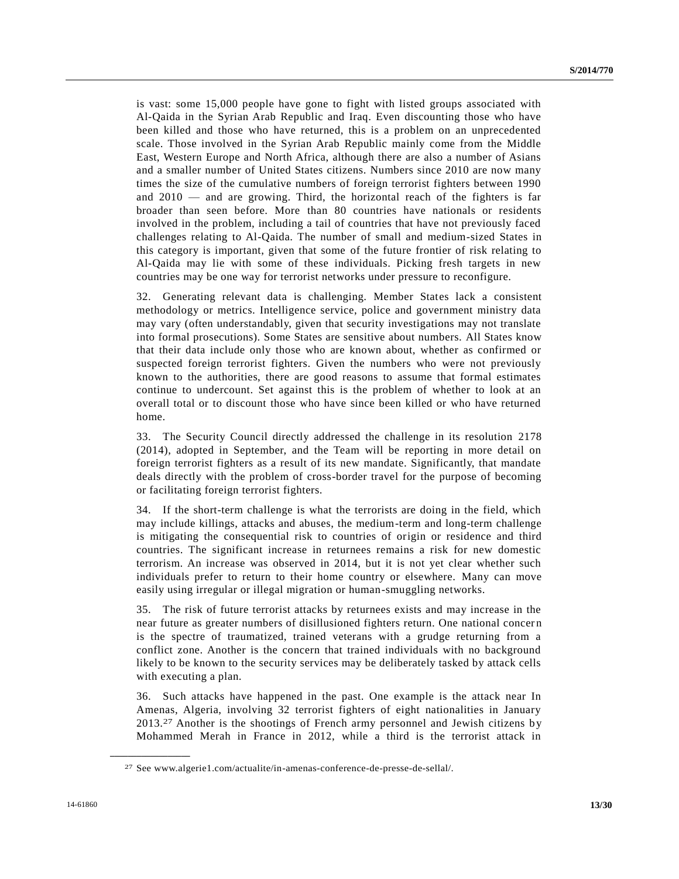is vast: some 15,000 people have gone to fight with listed groups associated with Al-Qaida in the Syrian Arab Republic and Iraq. Even discounting those who have been killed and those who have returned, this is a problem on an unprecedented scale. Those involved in the Syrian Arab Republic mainly come from the Middle East, Western Europe and North Africa, although there are also a number of Asians and a smaller number of United States citizens. Numbers since 2010 are now many times the size of the cumulative numbers of foreign terrorist fighters between 1990 and 2010 — and are growing. Third, the horizontal reach of the fighters is far broader than seen before. More than 80 countries have nationals or residents involved in the problem, including a tail of countries that have not previously faced challenges relating to Al-Qaida. The number of small and medium-sized States in this category is important, given that some of the future frontier of risk relating to Al-Qaida may lie with some of these individuals. Picking fresh targets in new countries may be one way for terrorist networks under pressure to reconfigure.

32. Generating relevant data is challenging. Member States lack a consistent methodology or metrics. Intelligence service, police and government ministry data may vary (often understandably, given that security investigations may not translate into formal prosecutions). Some States are sensitive about numbers. All States know that their data include only those who are known about, whether as confirmed or suspected foreign terrorist fighters. Given the numbers who were not previously known to the authorities, there are good reasons to assume that formal estimates continue to undercount. Set against this is the problem of whether to look at an overall total or to discount those who have since been killed or who have returned home.

33. The Security Council directly addressed the challenge in its resolution 2178 (2014), adopted in September, and the Team will be reporting in more detail on foreign terrorist fighters as a result of its new mandate. Significantly, that mandate deals directly with the problem of cross-border travel for the purpose of becoming or facilitating foreign terrorist fighters.

34. If the short-term challenge is what the terrorists are doing in the field, which may include killings, attacks and abuses, the medium-term and long-term challenge is mitigating the consequential risk to countries of origin or residence and third countries. The significant increase in returnees remains a risk for new domestic terrorism. An increase was observed in 2014, but it is not yet clear whether such individuals prefer to return to their home country or elsewhere. Many can move easily using irregular or illegal migration or human-smuggling networks.

35. The risk of future terrorist attacks by returnees exists and may increase in the near future as greater numbers of disillusioned fighters return. One national concer n is the spectre of traumatized, trained veterans with a grudge returning from a conflict zone. Another is the concern that trained individuals with no background likely to be known to the security services may be deliberately tasked by attack cells with executing a plan.

36. Such attacks have happened in the past. One example is the attack near In Amenas, Algeria, involving 32 terrorist fighters of eight nationalities in January 2013.27 Another is the shootings of French army personnel and Jewish citizens by Mohammed Merah in France in 2012, while a third is the terrorist attack in

<sup>27</sup> See www.algerie1.com/actualite/in-amenas-conference-de-presse-de-sellal/.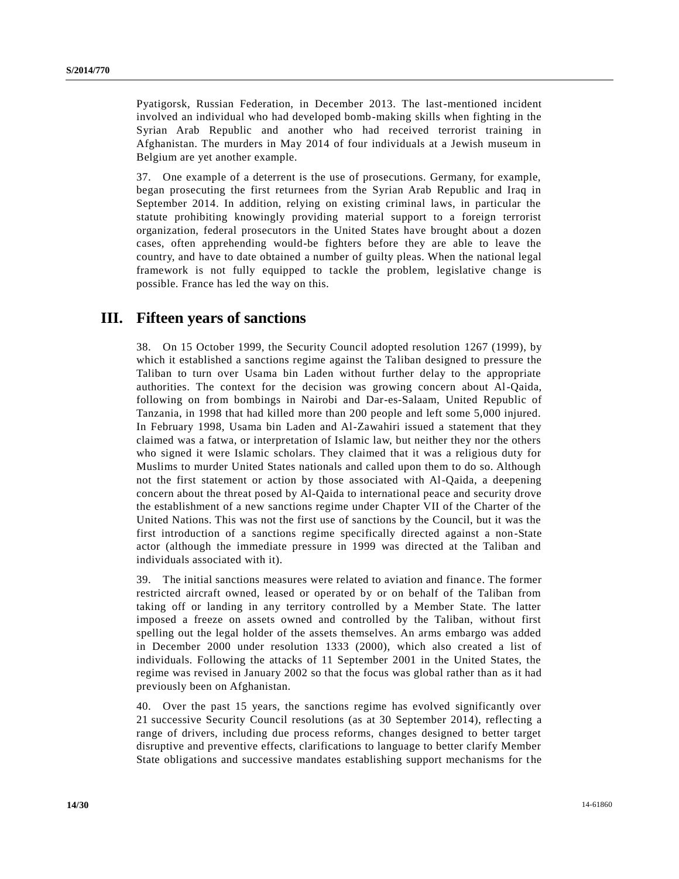Pyatigorsk, Russian Federation, in December 2013. The last-mentioned incident involved an individual who had developed bomb-making skills when fighting in the Syrian Arab Republic and another who had received terrorist training in Afghanistan. The murders in May 2014 of four individuals at a Jewish museum in Belgium are yet another example.

37. One example of a deterrent is the use of prosecutions. Germany, for example, began prosecuting the first returnees from the Syrian Arab Republic and Iraq in September 2014. In addition, relying on existing criminal laws, in particular the statute prohibiting knowingly providing material support to a foreign terrorist organization, federal prosecutors in the United States have brought about a dozen cases, often apprehending would-be fighters before they are able to leave the country, and have to date obtained a number of guilty pleas. When the national legal framework is not fully equipped to tackle the problem, legislative change is possible. France has led the way on this.

## **III. Fifteen years of sanctions**

38. On 15 October 1999, the Security Council adopted resolution 1267 (1999), by which it established a sanctions regime against the Taliban designed to pressure the Taliban to turn over Usama bin Laden without further delay to the appropriate authorities. The context for the decision was growing concern about Al-Qaida, following on from bombings in Nairobi and Dar-es-Salaam, United Republic of Tanzania, in 1998 that had killed more than 200 people and left some 5,000 injured. In February 1998, Usama bin Laden and Al-Zawahiri issued a statement that they claimed was a fatwa, or interpretation of Islamic law, but neither they nor the others who signed it were Islamic scholars. They claimed that it was a religious duty for Muslims to murder United States nationals and called upon them to do so. Although not the first statement or action by those associated with Al-Qaida, a deepening concern about the threat posed by Al-Qaida to international peace and security drove the establishment of a new sanctions regime under Chapter VII of the Charter of the United Nations. This was not the first use of sanctions by the Council, but it was the first introduction of a sanctions regime specifically directed against a non-State actor (although the immediate pressure in 1999 was directed at the Taliban and individuals associated with it).

39. The initial sanctions measures were related to aviation and financ e. The former restricted aircraft owned, leased or operated by or on behalf of the Taliban from taking off or landing in any territory controlled by a Member State. The latter imposed a freeze on assets owned and controlled by the Taliban, without first spelling out the legal holder of the assets themselves. An arms embargo was added in December 2000 under resolution 1333 (2000), which also created a list of individuals. Following the attacks of 11 September 2001 in the United States, the regime was revised in January 2002 so that the focus was global rather than as it had previously been on Afghanistan.

40. Over the past 15 years, the sanctions regime has evolved significantly over 21 successive Security Council resolutions (as at 30 September 2014), reflecting a range of drivers, including due process reforms, changes designed to better target disruptive and preventive effects, clarifications to language to better clarify Member State obligations and successive mandates establishing support mechanisms for the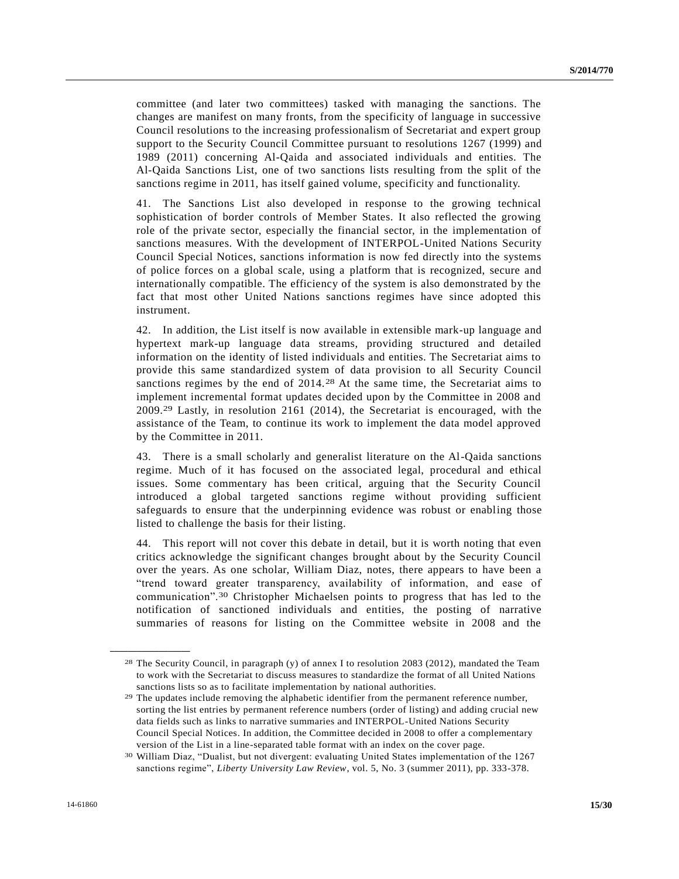committee (and later two committees) tasked with managing the sanctions. The changes are manifest on many fronts, from the specificity of language in successive Council resolutions to the increasing professionalism of Secretariat and expert group support to the Security Council Committee pursuant to resolutions 1267 (1999) and 1989 (2011) concerning Al-Qaida and associated individuals and entities. The Al-Qaida Sanctions List, one of two sanctions lists resulting from the split of the sanctions regime in 2011, has itself gained volume, specificity and functionality.

41. The Sanctions List also developed in response to the growing technical sophistication of border controls of Member States. It also reflected the growing role of the private sector, especially the financial sector, in the implementation of sanctions measures. With the development of INTERPOL-United Nations Security Council Special Notices, sanctions information is now fed directly into the systems of police forces on a global scale, using a platform that is recognized, secure and internationally compatible. The efficiency of the system is also demonstrated by the fact that most other United Nations sanctions regimes have since adopted this instrument.

42. In addition, the List itself is now available in extensible mark-up language and hypertext mark-up language data streams, providing structured and detailed information on the identity of listed individuals and entities. The Secretariat aims to provide this same standardized system of data provision to all Security Council sanctions regimes by the end of 2014.28 At the same time, the Secretariat aims to implement incremental format updates decided upon by the Committee in 2008 and 2009.29 Lastly, in resolution 2161 (2014), the Secretariat is encouraged, with the assistance of the Team, to continue its work to implement the data model approved by the Committee in 2011.

43. There is a small scholarly and generalist literature on the Al-Qaida sanctions regime. Much of it has focused on the associated legal, procedural and ethical issues. Some commentary has been critical, arguing that the Security Council introduced a global targeted sanctions regime without providing sufficient safeguards to ensure that the underpinning evidence was robust or enabling those listed to challenge the basis for their listing.

44. This report will not cover this debate in detail, but it is worth noting that even critics acknowledge the significant changes brought about by the Security Council over the years. As one scholar, William Diaz, notes, there appears to have been a "trend toward greater transparency, availability of information, and ease of communication".30 Christopher Michaelsen points to progress that has led to the notification of sanctioned individuals and entities, the posting of narrative summaries of reasons for listing on the Committee website in 2008 and the

<sup>28</sup> The Security Council, in paragraph (y) of annex I to resolution [2083 \(2012\),](http://undocs.org/S/RES/2083(2012)) mandated the Team to work with the Secretariat to discuss measures to standardize the format of all United Nations sanctions lists so as to facilitate implementation by national authorities.

<sup>29</sup> The updates include removing the alphabetic identifier from the permanent reference number, sorting the list entries by permanent reference numbers (order of listing) and adding crucial new data fields such as links to narrative summaries and INTERPOL-United Nations Security Council Special Notices. In addition, the Committee decided in 2008 to offer a complementary version of the List in a line-separated table format with an index on the cover page.

<sup>30</sup> William Diaz, "Dualist, but not divergent: evaluating United States implementation of the 1267 sanctions regime", *Liberty University Law Review*, vol. 5, No. 3 (summer 2011), pp. 333-378.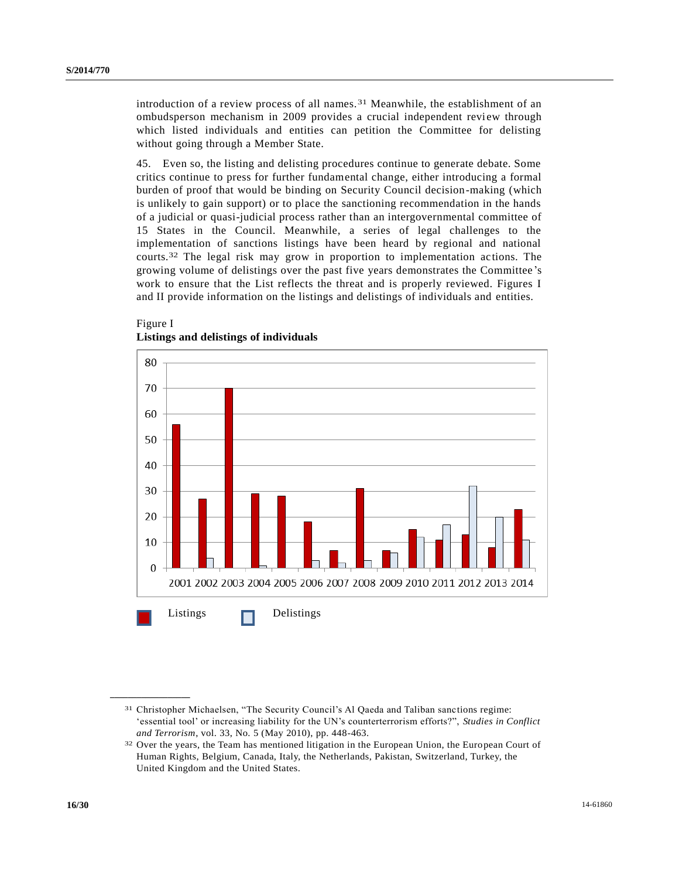introduction of a review process of all names. 31 Meanwhile, the establishment of an ombudsperson mechanism in 2009 provides a crucial independent review through which listed individuals and entities can petition the Committee for delisting without going through a Member State.

45. Even so, the listing and delisting procedures continue to generate debate. Some critics continue to press for further fundamental change, either introducing a formal burden of proof that would be binding on Security Council decision-making (which is unlikely to gain support) or to place the sanctioning recommendation in the hands of a judicial or quasi-judicial process rather than an intergovernmental committee of 15 States in the Council. Meanwhile, a series of legal challenges to the implementation of sanctions listings have been heard by regional and national courts.32 The legal risk may grow in proportion to implementation actions. The growing volume of delistings over the past five years demonstrates the Committee 's work to ensure that the List reflects the threat and is properly reviewed. Figures I and II provide information on the listings and delistings of individuals and entities.



#### Figure I **Listings and delistings of individuals**

<sup>31</sup> Christopher Michaelsen, "The Security Council's Al Qaeda and Taliban sanctions regime: 'essential tool' or increasing liability for the UN's counterterrorism efforts?", *Studies in Conflict and Terrorism*, vol. 33, No. 5 (May 2010), pp. 448-463.

<sup>32</sup> Over the years, the Team has mentioned litigation in the European Union, the European Court of Human Rights, Belgium, Canada, Italy, the Netherlands, Pakistan, Switzerland, Turkey, the United Kingdom and the United States.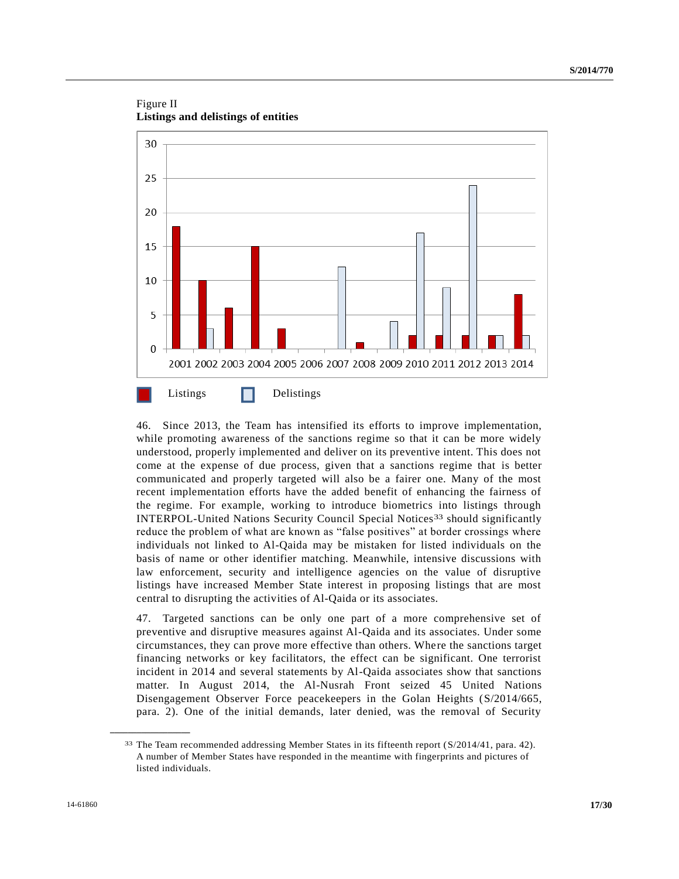Figure II **Listings and delistings of entities**



46. Since 2013, the Team has intensified its efforts to improve implementation, while promoting awareness of the sanctions regime so that it can be more widely understood, properly implemented and deliver on its preventive intent. This does not come at the expense of due process, given that a sanctions regime that is better communicated and properly targeted will also be a fairer one. Many of the most recent implementation efforts have the added benefit of enhancing the fairness of the regime. For example, working to introduce biometrics into listings through INTERPOL-United Nations Security Council Special Notices33 should significantly reduce the problem of what are known as "false positives" at border crossings where individuals not linked to Al-Qaida may be mistaken for listed individuals on the basis of name or other identifier matching. Meanwhile, intensive discussions with law enforcement, security and intelligence agencies on the value of disruptive listings have increased Member State interest in proposing listings that are most central to disrupting the activities of Al-Qaida or its associates.

47. Targeted sanctions can be only one part of a more comprehensive set of preventive and disruptive measures against Al-Qaida and its associates. Under some circumstances, they can prove more effective than others. Where the sanctions target financing networks or key facilitators, the effect can be significant. One terrorist incident in 2014 and several statements by Al-Qaida associates show that sanctions matter. In August 2014, the Al-Nusrah Front seized 45 United Nations Disengagement Observer Force peacekeepers in the Golan Heights [\(S/2014/665,](http://undocs.org/S/2014/665) para. 2). One of the initial demands, later denied, was the removal of Security

<sup>33</sup> The Team recommended addressing Member States in its fifteenth report [\(S/2014/41,](http://undocs.org/S/2014/41) para. 42). A number of Member States have responded in the meantime with fingerprints and pictures of listed individuals.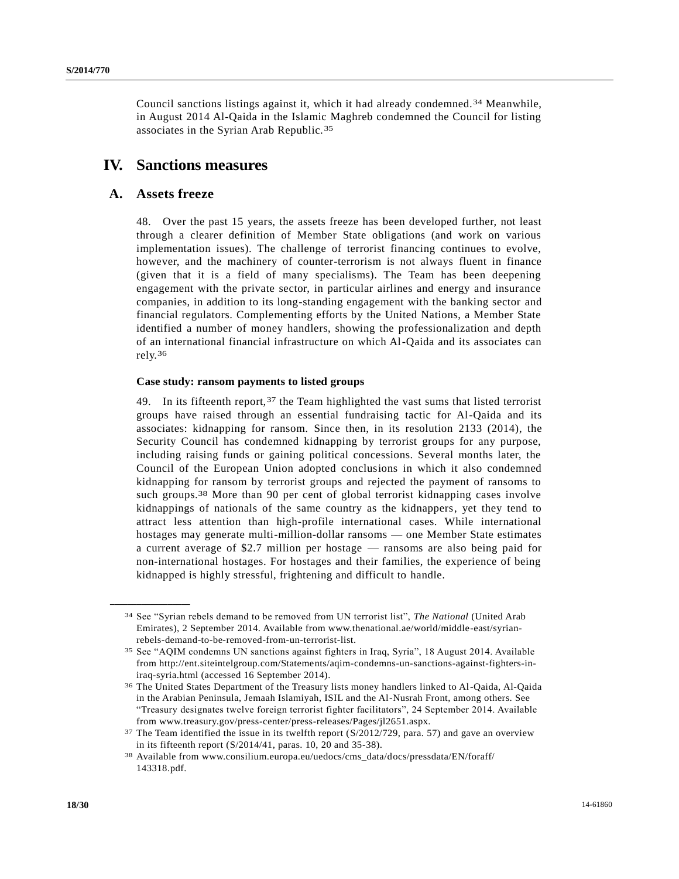Council sanctions listings against it, which it had already condemned.34 Meanwhile, in August 2014 Al-Qaida in the Islamic Maghreb condemned the Council for listing associates in the Syrian Arab Republic.35

## **IV. Sanctions measures**

#### **A. Assets freeze**

**\_\_\_\_\_\_\_\_\_\_\_\_\_\_\_\_\_\_**

48. Over the past 15 years, the assets freeze has been developed further, not least through a clearer definition of Member State obligations (and work on various implementation issues). The challenge of terrorist financing continues to evolve, however, and the machinery of counter-terrorism is not always fluent in finance (given that it is a field of many specialisms). The Team has been deepening engagement with the private sector, in particular airlines and energy and insurance companies, in addition to its long-standing engagement with the banking sector and financial regulators. Complementing efforts by the United Nations, a Member State identified a number of money handlers, showing the professionalization and depth of an international financial infrastructure on which Al-Qaida and its associates can rely.36

#### **Case study: ransom payments to listed groups**

49. In its fifteenth report,  $37$  the Team highlighted the vast sums that listed terrorist groups have raised through an essential fundraising tactic for Al-Qaida and its associates: kidnapping for ransom. Since then, in its resolution 2133 (2014), the Security Council has condemned kidnapping by terrorist groups for any purpose, including raising funds or gaining political concessions. Several months later, the Council of the European Union adopted conclusions in which it also condemned kidnapping for ransom by terrorist groups and rejected the payment of ransoms to such groups.<sup>38</sup> More than 90 per cent of global terrorist kidnapping cases involve kidnappings of nationals of the same country as the kidnappers, yet they tend to attract less attention than high-profile international cases. While international hostages may generate multi-million-dollar ransoms — one Member State estimates a current average of \$2.7 million per hostage — ransoms are also being paid for non-international hostages. For hostages and their families, the experience of being kidnapped is highly stressful, frightening and difficult to handle.

<sup>34</sup> See "Syrian rebels demand to be removed from UN terrorist list", *The National* (United Arab Emirates), 2 September 2014. Available from www.thenational.ae/world/middle-east/syrianrebels-demand-to-be-removed-from-un-terrorist-list.

<sup>35</sup> See "AQIM condemns UN sanctions against fighters in Iraq, Syria", 18 August 2014. Available from http://ent.siteintelgroup.com/Statements/aqim-condemns-un-sanctions-against-fighters-iniraq-syria.html (accessed 16 September 2014).

<sup>36</sup> The United States Department of the Treasury lists money handlers linked to Al-Qaida, Al-Qaida in the Arabian Peninsula, Jemaah Islamiyah, ISIL and the Al-Nusrah Front, among others. See "Treasury designates twelve foreign terrorist fighter facilitators", 24 September 2014. Available from www.treasury.gov/press-center/press-releases/Pages/jl2651.aspx.

<sup>&</sup>lt;sup>37</sup> The Team identified the issue in its twelfth report [\(S/2012/729,](http://undocs.org/S/2012/729) para. 57) and gave an overview in its fifteenth report [\(S/2014/41,](http://undocs.org/S/2014/41) paras. 10, 20 and 35-38).

<sup>38</sup> Available from www.consilium.europa.eu/uedocs/cms\_data/docs/pressdata/EN/foraff/ 143318.pdf.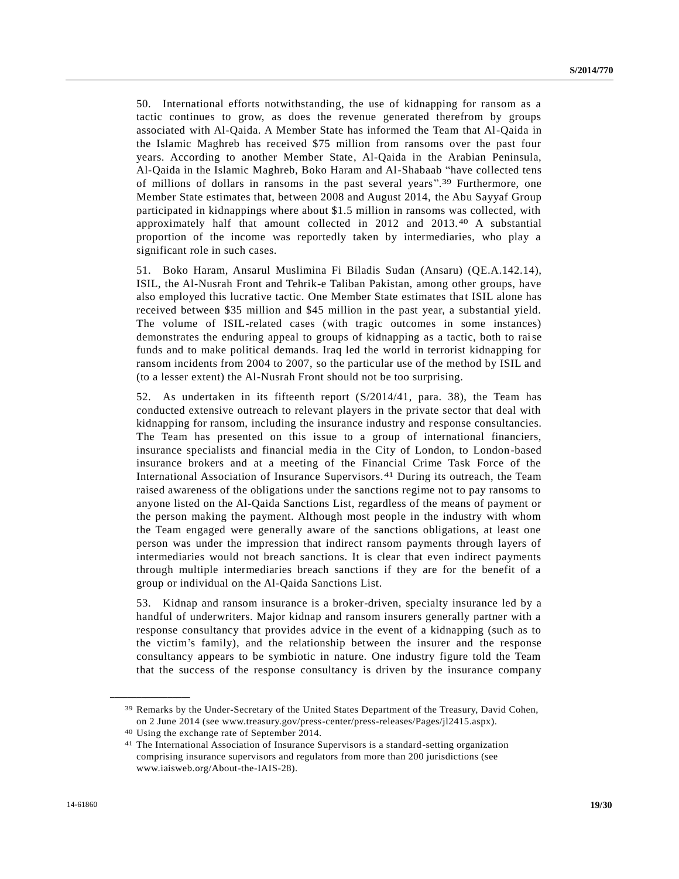50. International efforts notwithstanding, the use of kidnapping for ransom as a tactic continues to grow, as does the revenue generated therefrom by groups associated with Al-Qaida. A Member State has informed the Team that Al-Qaida in the Islamic Maghreb has received \$75 million from ransoms over the past four years. According to another Member State, Al-Qaida in the Arabian Peninsula, Al-Qaida in the Islamic Maghreb, Boko Haram and Al-Shabaab "have collected tens of millions of dollars in ransoms in the past several years". 39 Furthermore, one Member State estimates that, between 2008 and August 2014, the Abu Sayyaf Group participated in kidnappings where about \$1.5 million in ransoms was collected, with approximately half that amount collected in 2012 and 2013. 40 A substantial proportion of the income was reportedly taken by intermediaries, who play a significant role in such cases.

51. Boko Haram, Ansarul Muslimina Fi Biladis Sudan (Ansaru) (QE.A.142.14), ISIL, the Al-Nusrah Front and Tehrik-e Taliban Pakistan, among other groups, have also employed this lucrative tactic. One Member State estimates that ISIL alone has received between \$35 million and \$45 million in the past year, a substantial yield. The volume of ISIL-related cases (with tragic outcomes in some instances) demonstrates the enduring appeal to groups of kidnapping as a tactic, both to raise funds and to make political demands. Iraq led the world in terrorist kidnapping for ransom incidents from 2004 to 2007, so the particular use of the method by ISIL and (to a lesser extent) the Al-Nusrah Front should not be too surprising.

52. As undertaken in its fifteenth report [\(S/2014/41,](http://undocs.org/S/2014/41) para. 38), the Team has conducted extensive outreach to relevant players in the private sector that deal with kidnapping for ransom, including the insurance industry and r esponse consultancies. The Team has presented on this issue to a group of international financiers, insurance specialists and financial media in the City of London, to London-based insurance brokers and at a meeting of the Financial Crime Task Force of the International Association of Insurance Supervisors. 41 During its outreach, the Team raised awareness of the obligations under the sanctions regime not to pay ransoms to anyone listed on the Al-Qaida Sanctions List, regardless of the means of payment or the person making the payment. Although most people in the industry with whom the Team engaged were generally aware of the sanctions obligations, at least one person was under the impression that indirect ransom payments through layers of intermediaries would not breach sanctions. It is clear that even indirect payments through multiple intermediaries breach sanctions if they are for the benefit of a group or individual on the Al-Qaida Sanctions List.

53. Kidnap and ransom insurance is a broker-driven, specialty insurance led by a handful of underwriters. Major kidnap and ransom insurers generally partner with a response consultancy that provides advice in the event of a kidnapping (such as to the victim's family), and the relationship between the insurer and the response consultancy appears to be symbiotic in nature. One industry figure told the Team that the success of the response consultancy is driven by the insurance company

<sup>39</sup> Remarks by the Under-Secretary of the United States Department of the Treasury, David Cohen, on 2 June 2014 (see www.treasury.gov/press-center/press-releases/Pages/jl2415.aspx).

<sup>40</sup> Using the exchange rate of September 2014.

<sup>41</sup> The International Association of Insurance Supervisors is a standard-setting organization comprising insurance supervisors and regulators from more than 200 jurisdictions (see www.iaisweb.org/About-the-IAIS-28).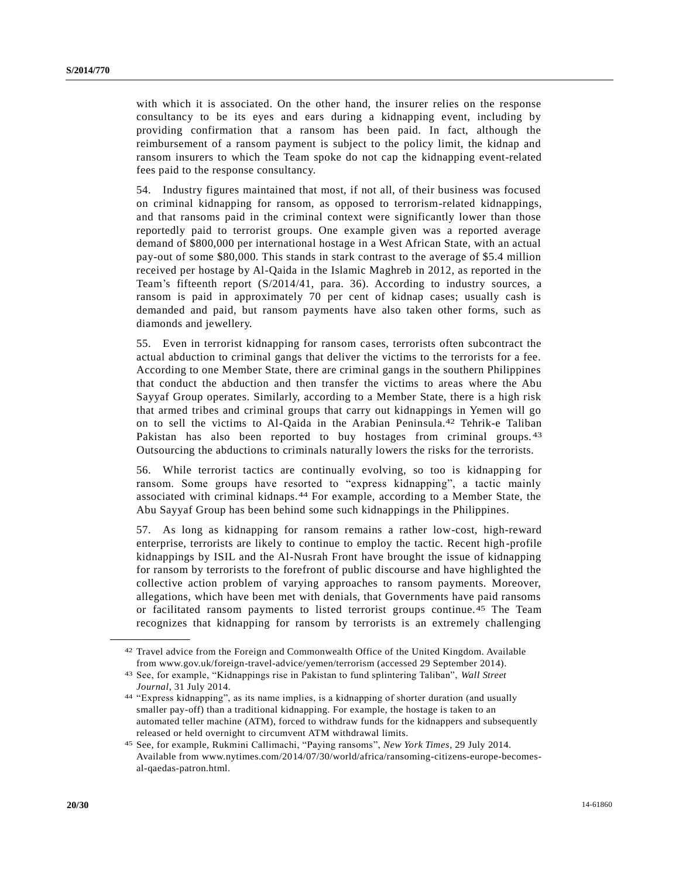with which it is associated. On the other hand, the insurer relies on the response consultancy to be its eyes and ears during a kidnapping event, including by providing confirmation that a ransom has been paid. In fact, although the reimbursement of a ransom payment is subject to the policy limit, the kidnap and ransom insurers to which the Team spoke do not cap the kidnapping event-related fees paid to the response consultancy.

54. Industry figures maintained that most, if not all, of their business was focused on criminal kidnapping for ransom, as opposed to terrorism-related kidnappings, and that ransoms paid in the criminal context were significantly lower than those reportedly paid to terrorist groups. One example given was a reported average demand of \$800,000 per international hostage in a West African State, with an actual pay-out of some \$80,000. This stands in stark contrast to the average of \$5.4 million received per hostage by Al-Qaida in the Islamic Maghreb in 2012, as reported in the Team's fifteenth report [\(S/2014/41,](http://undocs.org/S/2014/41) para. 36). According to industry sources, a ransom is paid in approximately 70 per cent of kidnap cases; usually cash is demanded and paid, but ransom payments have also taken other forms, such as diamonds and jewellery.

55. Even in terrorist kidnapping for ransom cases, terrorists often subcontract the actual abduction to criminal gangs that deliver the victims to the terrorists for a fee. According to one Member State, there are criminal gangs in the southern Philippines that conduct the abduction and then transfer the victims to areas where the Abu Sayyaf Group operates. Similarly, according to a Member State, there is a high risk that armed tribes and criminal groups that carry out kidnappings in Yemen will go on to sell the victims to Al-Qaida in the Arabian Peninsula.42 Tehrik-e Taliban Pakistan has also been reported to buy hostages from criminal groups. 43 Outsourcing the abductions to criminals naturally lowers the risks for the terrorists.

56. While terrorist tactics are continually evolving, so too is kidnapping for ransom. Some groups have resorted to "express kidnapping", a tactic mainly associated with criminal kidnaps.44 For example, according to a Member State, the Abu Sayyaf Group has been behind some such kidnappings in the Philippines.

57. As long as kidnapping for ransom remains a rather low-cost, high-reward enterprise, terrorists are likely to continue to employ the tactic. Recent high -profile kidnappings by ISIL and the Al-Nusrah Front have brought the issue of kidnapping for ransom by terrorists to the forefront of public discourse and have highlighted the collective action problem of varying approaches to ransom payments. Moreover, allegations, which have been met with denials, that Governments have paid ransoms or facilitated ransom payments to listed terrorist groups continue.45 The Team recognizes that kidnapping for ransom by terrorists is an extremely challenging

<sup>42</sup> Travel advice from the Foreign and Commonwealth Office of the United Kingdom. Available from www.gov.uk/foreign-travel-advice/yemen/terrorism (accessed 29 September 2014).

<sup>43</sup> See, for example, "Kidnappings rise in Pakistan to fund splintering Taliban", *Wall Street Journal*, 31 July 2014.

<sup>44</sup> "Express kidnapping", as its name implies, is a kidnapping of shorter duration (and usually smaller pay-off) than a traditional kidnapping. For example, the hostage is taken to an automated teller machine (ATM), forced to withdraw funds for the kidnappers and subsequently released or held overnight to circumvent ATM withdrawal limits.

<sup>45</sup> See, for example, Rukmini Callimachi, "Paying ransoms", *New York Times*, 29 July 2014. Available from www.nytimes.com/2014/07/30/world/africa/ransoming-citizens-europe-becomesal-qaedas-patron.html.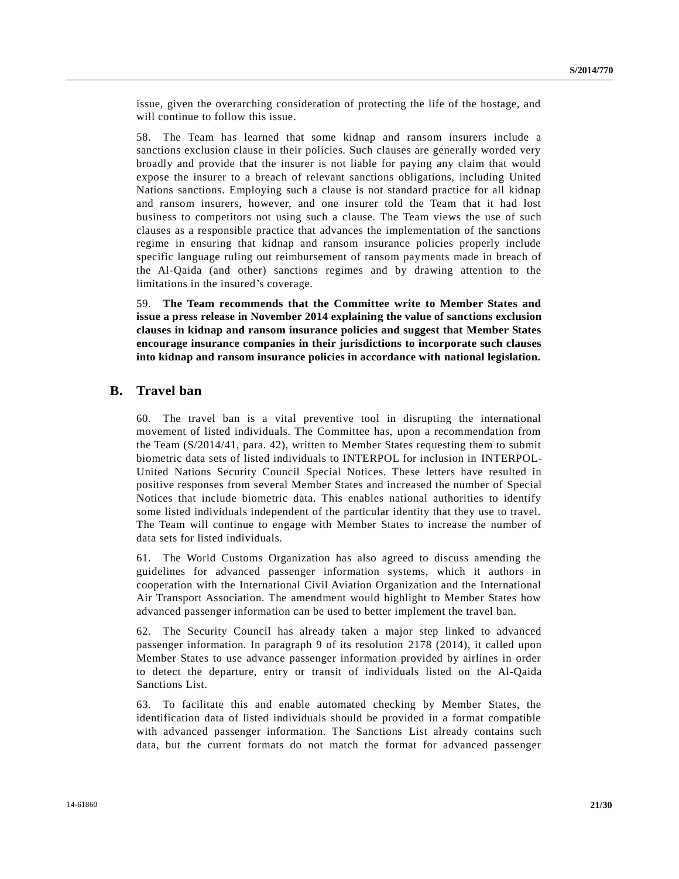issue, given the overarching consideration of protecting the life of the hostage, and will continue to follow this issue.

58. The Team has learned that some kidnap and ransom insurers include a sanctions exclusion clause in their policies. Such clauses are generally worded very broadly and provide that the insurer is not liable for paying any claim that would expose the insurer to a breach of relevant sanctions obligations, including United Nations sanctions. Employing such a clause is not standard practice for all kidnap and ransom insurers, however, and one insurer told the Team that it had lost business to competitors not using such a clause. The Team views the use of such clauses as a responsible practice that advances the implementation of the sanctions regime in ensuring that kidnap and ransom insurance policies properly include specific language ruling out reimbursement of ransom payments made in breach of the Al-Qaida (and other) sanctions regimes and by drawing attention to the limitations in the insured's coverage.

59. **The Team recommends that the Committee write to Member States and issue a press release in November 2014 explaining the value of sanctions exclusion clauses in kidnap and ransom insurance policies and suggest that Member States encourage insurance companies in their jurisdictions to incorporate such clauses into kidnap and ransom insurance policies in accordance with national legislation.**

### **B. Travel ban**

60. The travel ban is a vital preventive tool in disrupting the international movement of listed individuals. The Committee has, upon a recommendation from the Team [\(S/2014/41,](http://undocs.org/S/2014/41) para. 42), written to Member States requesting them to submit biometric data sets of listed individuals to INTERPOL for inclusion in INTERPOL-United Nations Security Council Special Notices. These letters have resulted in positive responses from several Member States and increased the number of Special Notices that include biometric data. This enables national authorities to identify some listed individuals independent of the particular identity that they use to travel. The Team will continue to engage with Member States to increase the number of data sets for listed individuals.

61. The World Customs Organization has also agreed to discuss amending the guidelines for advanced passenger information systems, which it authors in cooperation with the International Civil Aviation Organization and the International Air Transport Association. The amendment would highlight to Member States how advanced passenger information can be used to better implement the travel ban.

62. The Security Council has already taken a major step linked to advanced passenger information. In paragraph 9 of its resolution 2178 (2014), it called upon Member States to use advance passenger information provided by airlines in order to detect the departure, entry or transit of individuals listed on the Al-Qaida Sanctions List.

63. To facilitate this and enable automated checking by Member States, the identification data of listed individuals should be provided in a format compatible with advanced passenger information. The Sanctions List already contains such data, but the current formats do not match the format for advanced passenger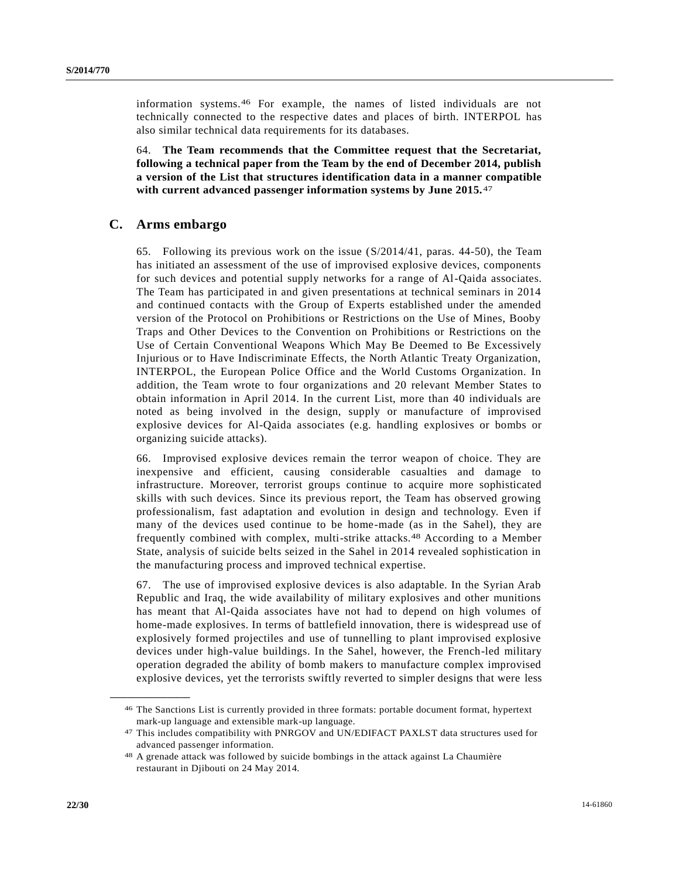information systems.46 For example, the names of listed individuals are not technically connected to the respective dates and places of birth. INTERPOL has also similar technical data requirements for its databases.

64. **The Team recommends that the Committee request that the Secretariat, following a technical paper from the Team by the end of December 2014, publish a version of the List that structures identification data in a manner compatible with current advanced passenger information systems by June 2015.** 47

#### **C. Arms embargo**

65. Following its previous work on the issue [\(S/2014/41,](http://undocs.org/S/2014/41) paras. 44-50), the Team has initiated an assessment of the use of improvised explosive devices, components for such devices and potential supply networks for a range of Al-Qaida associates. The Team has participated in and given presentations at technical seminars in 2014 and continued contacts with the Group of Experts established under the amended version of the Protocol on Prohibitions or Restrictions on the Use of Mines, Booby Traps and Other Devices to the Convention on Prohibitions or Restrictions on the Use of Certain Conventional Weapons Which May Be Deemed to Be Excessively Injurious or to Have Indiscriminate Effects, the North Atlantic Treaty Organization, INTERPOL, the European Police Office and the World Customs Organization. In addition, the Team wrote to four organizations and 20 relevant Member States to obtain information in April 2014. In the current List, more than 40 individuals are noted as being involved in the design, supply or manufacture of improvised explosive devices for Al-Qaida associates (e.g. handling explosives or bombs or organizing suicide attacks).

66. Improvised explosive devices remain the terror weapon of choice. They are inexpensive and efficient, causing considerable casualties and damage to infrastructure. Moreover, terrorist groups continue to acquire more sophisticated skills with such devices. Since its previous report, the Team has observed growing professionalism, fast adaptation and evolution in design and technology. Even if many of the devices used continue to be home-made (as in the Sahel), they are frequently combined with complex, multi-strike attacks.48 According to a Member State, analysis of suicide belts seized in the Sahel in 2014 revealed sophistication in the manufacturing process and improved technical expertise.

67. The use of improvised explosive devices is also adaptable. In the Syrian Arab Republic and Iraq, the wide availability of military explosives and other munitions has meant that Al-Qaida associates have not had to depend on high volumes of home-made explosives. In terms of battlefield innovation, there is widespread use of explosively formed projectiles and use of tunnelling to plant improvised explosive devices under high-value buildings. In the Sahel, however, the French-led military operation degraded the ability of bomb makers to manufacture complex improvised explosive devices, yet the terrorists swiftly reverted to simpler designs that were less

<sup>46</sup> The Sanctions List is currently provided in three formats: portable document format, hypertext mark-up language and extensible mark-up language.

<sup>47</sup> This includes compatibility with PNRGOV and UN/EDIFACT PAXLST data structures used for advanced passenger information.

<sup>48</sup> A grenade attack was followed by suicide bombings in the attack against La Chaumière restaurant in Djibouti on 24 May 2014.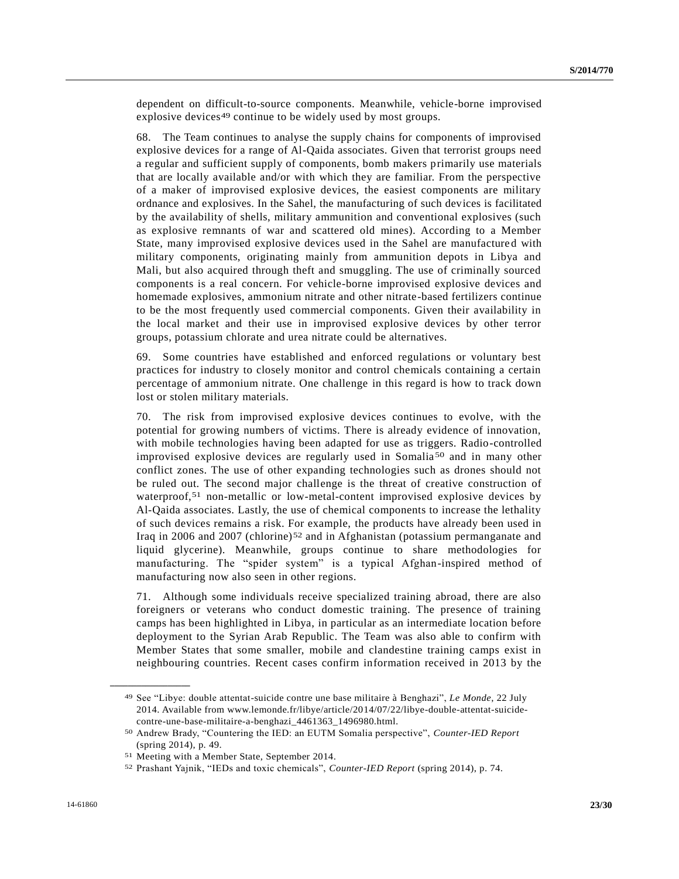dependent on difficult-to-source components. Meanwhile, vehicle-borne improvised explosive devices<sup>49</sup> continue to be widely used by most groups.

68. The Team continues to analyse the supply chains for components of improvised explosive devices for a range of Al-Qaida associates. Given that terrorist groups need a regular and sufficient supply of components, bomb makers primarily use materials that are locally available and/or with which they are familiar. From the perspective of a maker of improvised explosive devices, the easiest components are military ordnance and explosives. In the Sahel, the manufacturing of such devices is facilitated by the availability of shells, military ammunition and conventional explosives (such as explosive remnants of war and scattered old mines). According to a Member State, many improvised explosive devices used in the Sahel are manufactured with military components, originating mainly from ammunition depots in Libya and Mali, but also acquired through theft and smuggling. The use of criminally sourced components is a real concern. For vehicle-borne improvised explosive devices and homemade explosives, ammonium nitrate and other nitrate-based fertilizers continue to be the most frequently used commercial components. Given their availability in the local market and their use in improvised explosive devices by other terror groups, potassium chlorate and urea nitrate could be alternatives.

69. Some countries have established and enforced regulations or voluntary best practices for industry to closely monitor and control chemicals containing a certain percentage of ammonium nitrate. One challenge in this regard is how to track down lost or stolen military materials.

70. The risk from improvised explosive devices continues to evolve, with the potential for growing numbers of victims. There is already evidence of innovation, with mobile technologies having been adapted for use as triggers. Radio-controlled improvised explosive devices are regularly used in Somalia 50 and in many other conflict zones. The use of other expanding technologies such as drones should not be ruled out. The second major challenge is the threat of creative construction of waterproof,<sup>51</sup> non-metallic or low-metal-content improvised explosive devices by Al-Qaida associates. Lastly, the use of chemical components to increase the lethality of such devices remains a risk. For example, the products have already been used in Iraq in 2006 and 2007 (chlorine)52 and in Afghanistan (potassium permanganate and liquid glycerine). Meanwhile, groups continue to share methodologies for manufacturing. The "spider system" is a typical Afghan-inspired method of manufacturing now also seen in other regions.

71. Although some individuals receive specialized training abroad, there are also foreigners or veterans who conduct domestic training. The presence of training camps has been highlighted in Libya, in particular as an intermediate location before deployment to the Syrian Arab Republic. The Team was also able to confirm with Member States that some smaller, mobile and clandestine training camps exist in neighbouring countries. Recent cases confirm information received in 2013 by the

<sup>49</sup> See "Libye: double attentat-suicide contre une base militaire à Benghazi", *Le Monde*, 22 July 2014. Available from www.lemonde.fr/libye/article/2014/07/22/libye-double-attentat-suicidecontre-une-base-militaire-a-benghazi\_4461363\_1496980.html.

<sup>50</sup> Andrew Brady, "Countering the IED: an EUTM Somalia perspective", *Counter-IED Report* (spring 2014), p. 49.

<sup>51</sup> Meeting with a Member State, September 2014.

<sup>52</sup> Prashant Yajnik, "IEDs and toxic chemicals", *Counter-IED Report* (spring 2014), p. 74.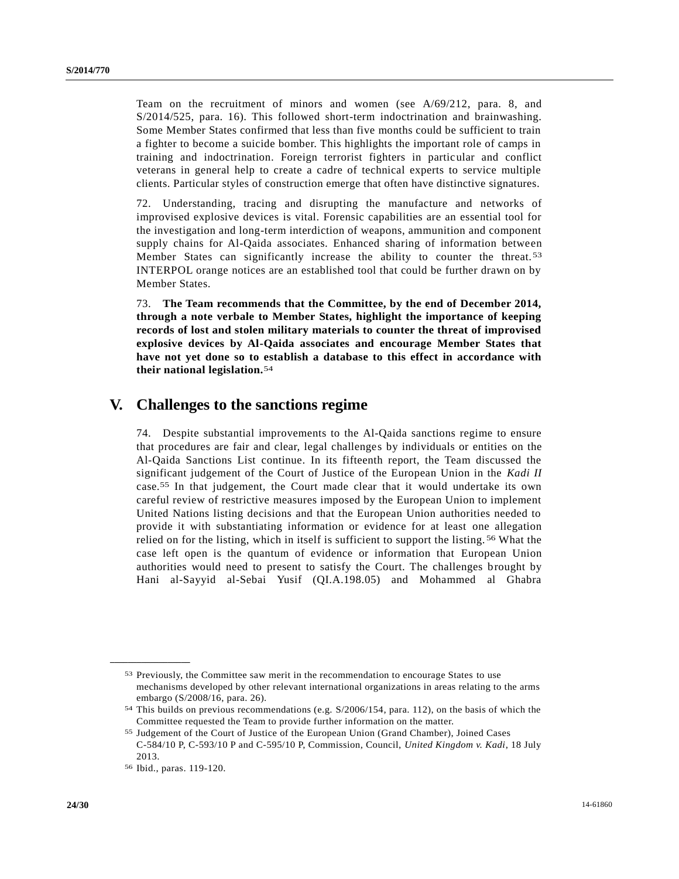Team on the recruitment of minors and women (see [A/69/212,](http://undocs.org/A/69/212) para. 8, and [S/2014/525,](http://undocs.org/S/2014/525) para. 16). This followed short-term indoctrination and brainwashing. Some Member States confirmed that less than five months could be sufficient to train a fighter to become a suicide bomber. This highlights the important role of camps in training and indoctrination. Foreign terrorist fighters in particular and conflict veterans in general help to create a cadre of technical experts to service multiple clients. Particular styles of construction emerge that often have distinctive signatures.

72. Understanding, tracing and disrupting the manufacture and networks of improvised explosive devices is vital. Forensic capabilities are an essential tool for the investigation and long-term interdiction of weapons, ammunition and component supply chains for Al-Qaida associates. Enhanced sharing of information between Member States can significantly increase the ability to counter the threat.<sup>53</sup> INTERPOL orange notices are an established tool that could be further drawn on by Member States.

73. **The Team recommends that the Committee, by the end of December 2014, through a note verbale to Member States, highlight the importance of keeping records of lost and stolen military materials to counter the threat of improvised explosive devices by Al-Qaida associates and encourage Member States that have not yet done so to establish a database to this effect in accordance with their national legislation.**54

## **V. Challenges to the sanctions regime**

74. Despite substantial improvements to the Al-Qaida sanctions regime to ensure that procedures are fair and clear, legal challenges by individuals or entities on the Al-Qaida Sanctions List continue. In its fifteenth report, the Team discussed the significant judgement of the Court of Justice of the European Union in the *Kadi II* case.55 In that judgement, the Court made clear that it would undertake its own careful review of restrictive measures imposed by the European Union to implement United Nations listing decisions and that the European Union authorities needed to provide it with substantiating information or evidence for at least one allegation relied on for the listing, which in itself is sufficient to support the listing. 56 What the case left open is the quantum of evidence or information that European Union authorities would need to present to satisfy the Court. The challenges brought by Hani al-Sayyid al-Sebai Yusif (QI.A.198.05) and Mohammed al Ghabra

<sup>53</sup> Previously, the Committee saw merit in the recommendation to encourage States to use mechanisms developed by other relevant international organizations in areas relating to the arms embargo [\(S/2008/16,](http://undocs.org/S/2008/16) para. 26).

<sup>54</sup> This builds on previous recommendations (e.g. [S/2006/154,](http://undocs.org/S/2006/154) para. 112), on the basis of which the Committee requested the Team to provide further information on the matter.

<sup>55</sup> Judgement of the Court of Justice of the European Union (Grand Chamber), Joined Cases C-584/10 P, C-593/10 P and C-595/10 P, Commission, Council, *United Kingdom v. Kadi*, 18 July 2013.

<sup>56</sup> Ibid., paras. 119-120.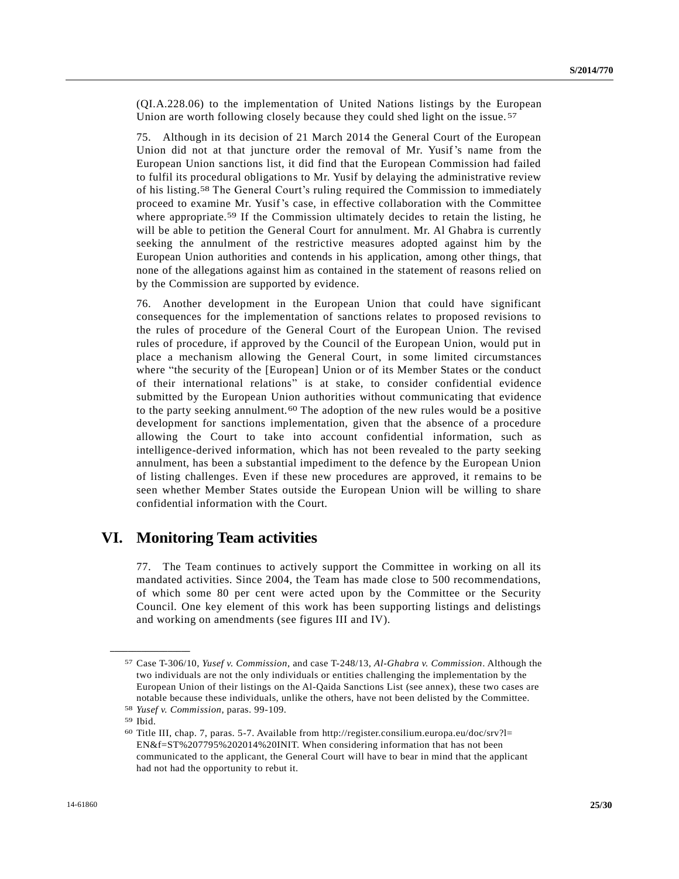(QI.A.228.06) to the implementation of United Nations listings by the European Union are worth following closely because they could shed light on the issue.<sup>57</sup>

75. Although in its decision of 21 March 2014 the General Court of the European Union did not at that juncture order the removal of Mr. Yusif's name from the European Union sanctions list, it did find that the European Commission had failed to fulfil its procedural obligations to Mr. Yusif by delaying the administrative review of his listing. 58 The General Court's ruling required the Commission to immediately proceed to examine Mr. Yusif's case, in effective collaboration with the Committee where appropriate.<sup>59</sup> If the Commission ultimately decides to retain the listing, he will be able to petition the General Court for annulment. Mr. Al Ghabra is currently seeking the annulment of the restrictive measures adopted against him by the European Union authorities and contends in his application, among other things, that none of the allegations against him as contained in the statement of reasons relied on by the Commission are supported by evidence.

76. Another development in the European Union that could have significant consequences for the implementation of sanctions relates to proposed revisions to the rules of procedure of the General Court of the European Union. The revised rules of procedure, if approved by the Council of the European Union, would put in place a mechanism allowing the General Court, in some limited circumstances where "the security of the [European] Union or of its Member States or the conduct of their international relations" is at stake, to consider confidential evidence submitted by the European Union authorities without communicating that evidence to the party seeking annulment.<sup>60</sup> The adoption of the new rules would be a positive development for sanctions implementation, given that the absence of a procedure allowing the Court to take into account confidential information, such as intelligence-derived information, which has not been revealed to the party seeking annulment, has been a substantial impediment to the defence by the European Union of listing challenges. Even if these new procedures are approved, it remains to be seen whether Member States outside the European Union will be willing to share confidential information with the Court.

## **VI. Monitoring Team activities**

77. The Team continues to actively support the Committee in working on all its mandated activities. Since 2004, the Team has made close to 500 recommendations, of which some 80 per cent were acted upon by the Committee or the Security Council. One key element of this work has been supporting listings and delistings and working on amendments (see figures III and IV).

<sup>57</sup> Case T-306/10, *Yusef v. Commission*, and case T-248/13, *Al-Ghabra v. Commission*. Although the two individuals are not the only individuals or entities challenging the implementation by the European Union of their listings on the Al-Qaida Sanctions List (see annex), these two cases are notable because these individuals, unlike the others, have not been delisted by the Committee.

<sup>58</sup> *Yusef v. Commission*, paras. 99-109.

<sup>59</sup> Ibid.

<sup>60</sup> Title III, chap. 7, paras. 5-7. Available from http://register.consilium.europa.eu/doc/srv?l= EN&f=ST%207795%202014%20INIT. When considering information that has not been communicated to the applicant, the General Court will have to bear in mind that the applicant had not had the opportunity to rebut it.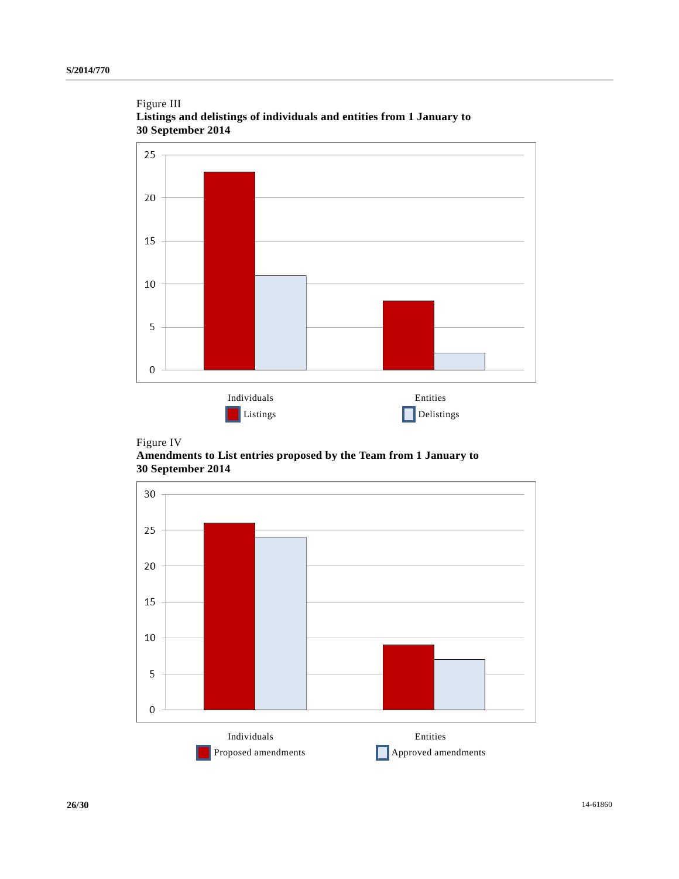





**Amendments to List entries proposed by the Team from 1 January to 30 September 2014**

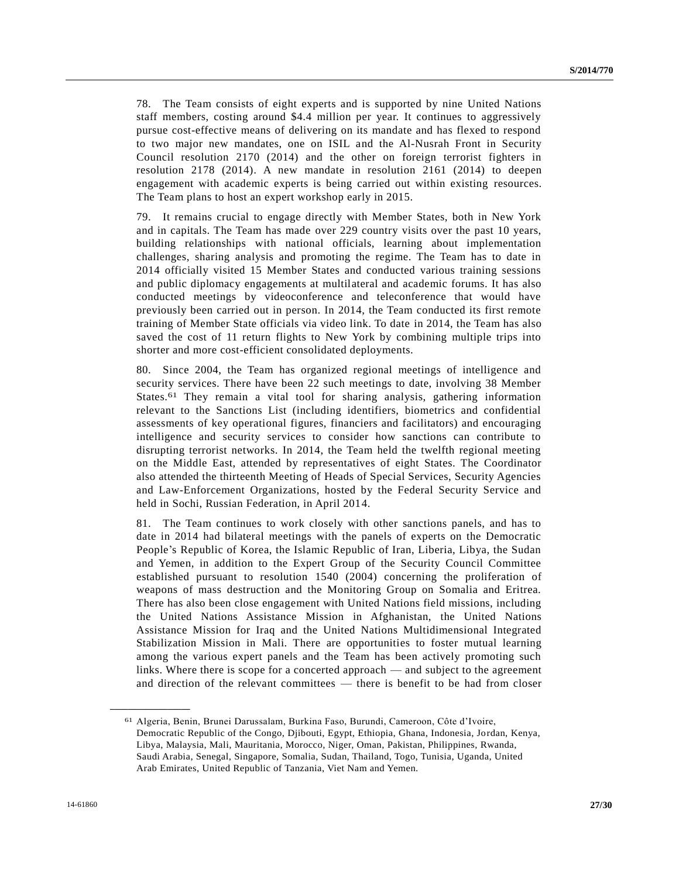78. The Team consists of eight experts and is supported by nine United Nations staff members, costing around \$4.4 million per year. It continues to aggressively pursue cost-effective means of delivering on its mandate and has flexed to respond to two major new mandates, one on ISIL and the Al-Nusrah Front in Security Council resolution 2170 (2014) and the other on foreign terrorist fighters in resolution 2178 (2014). A new mandate in resolution 2161 (2014) to deepen engagement with academic experts is being carried out within existing resources. The Team plans to host an expert workshop early in 2015.

79. It remains crucial to engage directly with Member States, both in New York and in capitals. The Team has made over 229 country visits over the past 10 years, building relationships with national officials, learning about implementation challenges, sharing analysis and promoting the regime. The Team has to date in 2014 officially visited 15 Member States and conducted various training sessions and public diplomacy engagements at multilateral and academic forums. It has also conducted meetings by videoconference and teleconference that would have previously been carried out in person. In 2014, the Team conducted its first remote training of Member State officials via video link. To date in 2014, the Team has also saved the cost of 11 return flights to New York by combining multiple trips into shorter and more cost-efficient consolidated deployments.

80. Since 2004, the Team has organized regional meetings of intelligence and security services. There have been 22 such meetings to date, involving 38 Member States.61 They remain a vital tool for sharing analysis, gathering information relevant to the Sanctions List (including identifiers, biometrics and confidential assessments of key operational figures, financiers and facilitators) and encouraging intelligence and security services to consider how sanctions can contribute to disrupting terrorist networks. In 2014, the Team held the twelfth regional meeting on the Middle East, attended by representatives of eight States. The Coordinator also attended the thirteenth Meeting of Heads of Special Services, Security Agencies and Law-Enforcement Organizations, hosted by the Federal Security Service and held in Sochi, Russian Federation, in April 2014.

81. The Team continues to work closely with other sanctions panels, and has to date in 2014 had bilateral meetings with the panels of experts on the Democratic People's Republic of Korea, the Islamic Republic of Iran, Liberia, Libya, the Sudan and Yemen, in addition to the Expert Group of the Security Council Committee established pursuant to resolution 1540 (2004) concerning the proliferation of weapons of mass destruction and the Monitoring Group on Somalia and Eritrea. There has also been close engagement with United Nations field missions, including the United Nations Assistance Mission in Afghanistan, the United Nations Assistance Mission for Iraq and the United Nations Multidimensional Integrated Stabilization Mission in Mali. There are opportunities to foster mutual learning among the various expert panels and the Team has been actively promoting such links. Where there is scope for a concerted approach — and subject to the agreement and direction of the relevant committees — there is benefit to be had from closer

<sup>61</sup> Algeria, Benin, Brunei Darussalam, Burkina Faso, Burundi, Cameroon, Côte d'Ivoire, Democratic Republic of the Congo, Djibouti, Egypt, Ethiopia, Ghana, Indonesia, Jordan, Kenya, Libya, Malaysia, Mali, Mauritania, Morocco, Niger, Oman, Pakistan, Philippines, Rwanda, Saudi Arabia, Senegal, Singapore, Somalia, Sudan, Thailand, Togo, Tunisia, Uganda, United Arab Emirates, United Republic of Tanzania, Viet Nam and Yemen.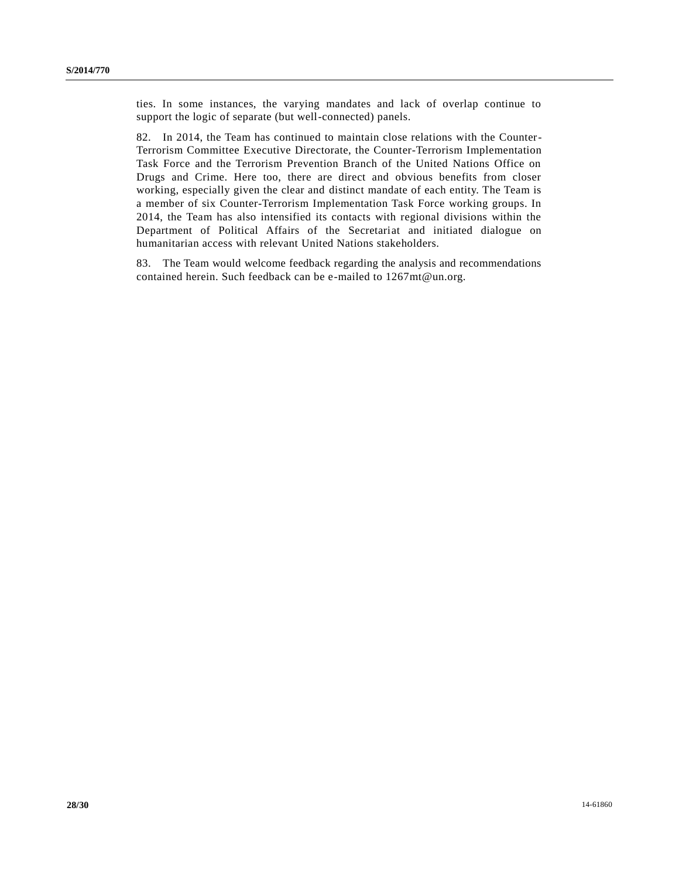ties. In some instances, the varying mandates and lack of overlap continue to support the logic of separate (but well-connected) panels.

82. In 2014, the Team has continued to maintain close relations with the Counter-Terrorism Committee Executive Directorate, the Counter-Terrorism Implementation Task Force and the Terrorism Prevention Branch of the United Nations Office on Drugs and Crime. Here too, there are direct and obvious benefits from closer working, especially given the clear and distinct mandate of each entity. The Team is a member of six Counter-Terrorism Implementation Task Force working groups. In 2014, the Team has also intensified its contacts with regional divisions within the Department of Political Affairs of the Secretariat and initiated dialogue on humanitarian access with relevant United Nations stakeholders.

83. The Team would welcome feedback regarding the analysis and recommendations contained herein. Such feedback can be e-mailed to 1267mt@un.org.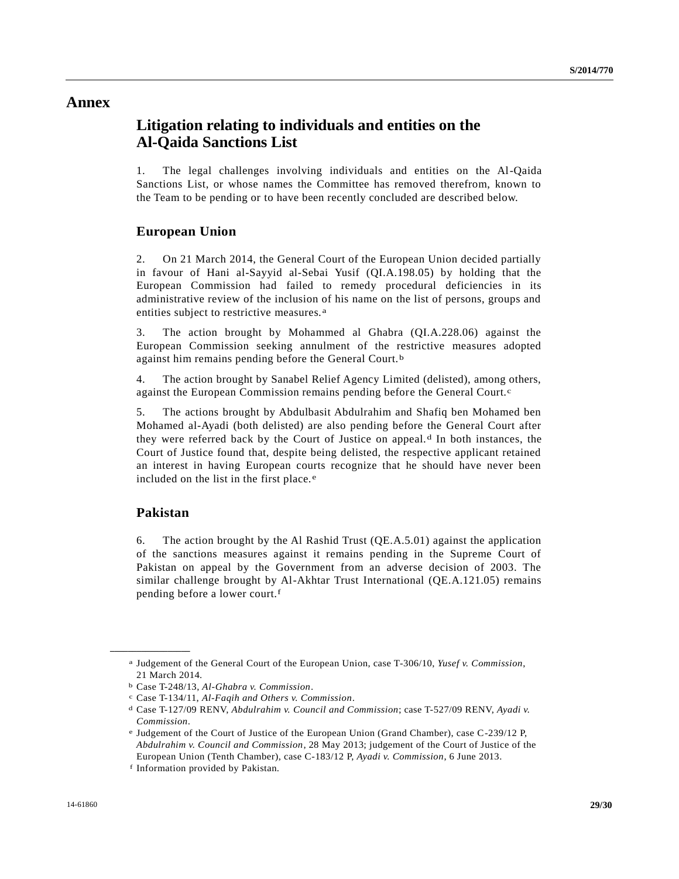### **Annex**

## **Litigation relating to individuals and entities on the Al-Qaida Sanctions List**

1. The legal challenges involving individuals and entities on the Al-Qaida Sanctions List, or whose names the Committee has removed therefrom, known to the Team to be pending or to have been recently concluded are described below.

#### **European Union**

2. On 21 March 2014, the General Court of the European Union decided partially in favour of Hani al-Sayyid al-Sebai Yusif (QI.A.198.05) by holding that the European Commission had failed to remedy procedural deficiencies in its administrative review of the inclusion of his name on the list of persons, groups and entities subject to restrictive measures. a

3. The action brought by Mohammed al Ghabra (QI.A.228.06) against the European Commission seeking annulment of the restrictive measures adopted against him remains pending before the General Court. b

4. The action brought by Sanabel Relief Agency Limited (delisted), among others, against the European Commission remains pending before the General Court.<sup>c</sup>

5. The actions brought by Abdulbasit Abdulrahim and Shafiq ben Mohamed ben Mohamed al-Ayadi (both delisted) are also pending before the General Court after they were referred back by the Court of Justice on appeal. d In both instances, the Court of Justice found that, despite being delisted, the respective applicant retained an interest in having European courts recognize that he should have never been included on the list in the first place. e

#### **Pakistan**

**\_\_\_\_\_\_\_\_\_\_\_\_\_\_\_\_\_\_**

6. The action brought by the Al Rashid Trust (QE.A.5.01) against the application of the sanctions measures against it remains pending in the Supreme Court of Pakistan on appeal by the Government from an adverse decision of 2003. The similar challenge brought by Al-Akhtar Trust International (QE.A.121.05) remains pending before a lower court.f

a Judgement of the General Court of the European Union, case T-306/10, *Yusef v. Commission*, 21 March 2014.

b Case T-248/13, *Al-Ghabra v. Commission*.

c Case T-134/11, *Al-Faqih and Others v. Commission*.

d Case T-127/09 RENV, *Abdulrahim v. Council and Commission*; case T-527/09 RENV, *Ayadi v. Commission*.

e Judgement of the Court of Justice of the European Union (Grand Chamber), case C-239/12 P, *Abdulrahim v. Council and Commission*, 28 May 2013; judgement of the Court of Justice of the European Union (Tenth Chamber), case C-183/12 P, *Ayadi v. Commission*, 6 June 2013.

f Information provided by Pakistan.